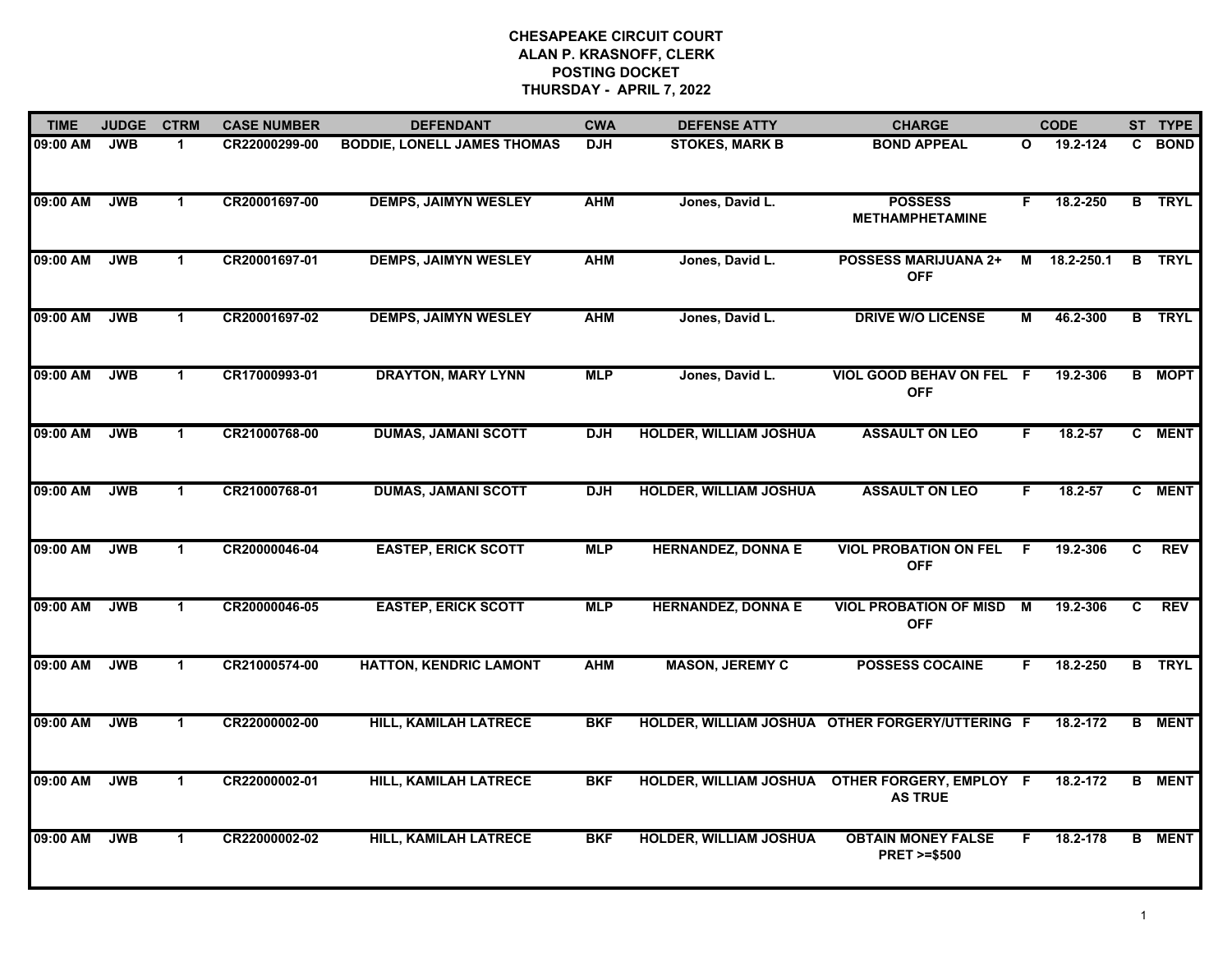| <b>TIME</b> | <b>JUDGE</b> | <b>CTRM</b>          | <b>CASE NUMBER</b> | <b>DEFENDANT</b>                   | <b>CWA</b> | <b>DEFENSE ATTY</b>           | <b>CHARGE</b>                                       |    | <b>CODE</b> |    | ST TYPE       |
|-------------|--------------|----------------------|--------------------|------------------------------------|------------|-------------------------------|-----------------------------------------------------|----|-------------|----|---------------|
| 09:00 AM    | <b>JWB</b>   | -1                   | CR22000299-00      | <b>BODDIE, LONELL JAMES THOMAS</b> | <b>DJH</b> | <b>STOKES, MARK B</b>         | <b>BOND APPEAL</b>                                  | O  | 19.2-124    | C. | <b>BOND</b>   |
| 09:00 AM    | <b>JWB</b>   | $\mathbf{1}$         | CR20001697-00      | <b>DEMPS, JAIMYN WESLEY</b>        | <b>AHM</b> | Jones, David L.               | <b>POSSESS</b><br><b>METHAMPHETAMINE</b>            | F. | 18.2-250    |    | <b>B</b> TRYL |
| 09:00 AM    | <b>JWB</b>   | $\mathbf 1$          | CR20001697-01      | <b>DEMPS, JAIMYN WESLEY</b>        | <b>AHM</b> | Jones, David L.               | <b>POSSESS MARIJUANA 2+</b><br><b>OFF</b>           | М  | 18.2-250.1  |    | <b>B</b> TRYL |
| 09:00 AM    | <b>JWB</b>   | 1                    | CR20001697-02      | <b>DEMPS, JAIMYN WESLEY</b>        | <b>AHM</b> | Jones, David L.               | <b>DRIVE W/O LICENSE</b>                            | М  | 46.2-300    |    | <b>B</b> TRYL |
| 09:00 AM    | <b>JWB</b>   | $\blacktriangleleft$ | CR17000993-01      | <b>DRAYTON, MARY LYNN</b>          | <b>MLP</b> | Jones, David L.               | <b>VIOL GOOD BEHAV ON FEL F</b><br><b>OFF</b>       |    | 19.2-306    |    | <b>B</b> MOPT |
| 09:00 AM    | <b>JWB</b>   | $\mathbf{1}$         | CR21000768-00      | <b>DUMAS, JAMANI SCOTT</b>         | <b>DJH</b> | <b>HOLDER, WILLIAM JOSHUA</b> | <b>ASSAULT ON LEO</b>                               | F. | 18.2-57     |    | C MENT        |
| 09:00 AM    | <b>JWB</b>   | $\mathbf{1}$         | CR21000768-01      | <b>DUMAS, JAMANI SCOTT</b>         | <b>DJH</b> | <b>HOLDER, WILLIAM JOSHUA</b> | <b>ASSAULT ON LEO</b>                               | F. | 18.2-57     |    | C MENT        |
| 09:00 AM    | <b>JWB</b>   | $\blacktriangleleft$ | CR20000046-04      | <b>EASTEP, ERICK SCOTT</b>         | <b>MLP</b> | <b>HERNANDEZ, DONNA E</b>     | <b>VIOL PROBATION ON FEL</b><br><b>OFF</b>          | -F | 19.2-306    | C. | <b>REV</b>    |
| 09:00 AM    | <b>JWB</b>   | $\mathbf 1$          | CR20000046-05      | <b>EASTEP, ERICK SCOTT</b>         | <b>MLP</b> | <b>HERNANDEZ, DONNA E</b>     | <b>VIOL PROBATION OF MISD</b><br><b>OFF</b>         | M  | 19.2-306    | C  | <b>REV</b>    |
| 09:00 AM    | <b>JWB</b>   | $\blacktriangleleft$ | CR21000574-00      | <b>HATTON, KENDRIC LAMONT</b>      | <b>AHM</b> | <b>MASON, JEREMY C</b>        | <b>POSSESS COCAINE</b>                              | F  | 18.2-250    |    | <b>B</b> TRYL |
| 09:00 AM    | <b>JWB</b>   | $\blacktriangleleft$ | CR22000002-00      | <b>HILL, KAMILAH LATRECE</b>       | <b>BKF</b> |                               | HOLDER, WILLIAM JOSHUA OTHER FORGERY/UTTERING F     |    | 18.2-172    | в  | <b>MENT</b>   |
| 09:00 AM    | <b>JWB</b>   | $\mathbf{1}$         | CR22000002-01      | <b>HILL, KAMILAH LATRECE</b>       | <b>BKF</b> | <b>HOLDER, WILLIAM JOSHUA</b> | OTHER FORGERY, EMPLOY F<br><b>AS TRUE</b>           |    | 18.2-172    |    | <b>B</b> MENT |
| 09:00 AM    | <b>JWB</b>   | $\blacktriangleleft$ | CR22000002-02      | <b>HILL, KAMILAH LATRECE</b>       | <b>BKF</b> | <b>HOLDER, WILLIAM JOSHUA</b> | <b>OBTAIN MONEY FALSE</b><br><b>PRET &gt;=\$500</b> | F  | 18.2-178    |    | <b>B</b> MENT |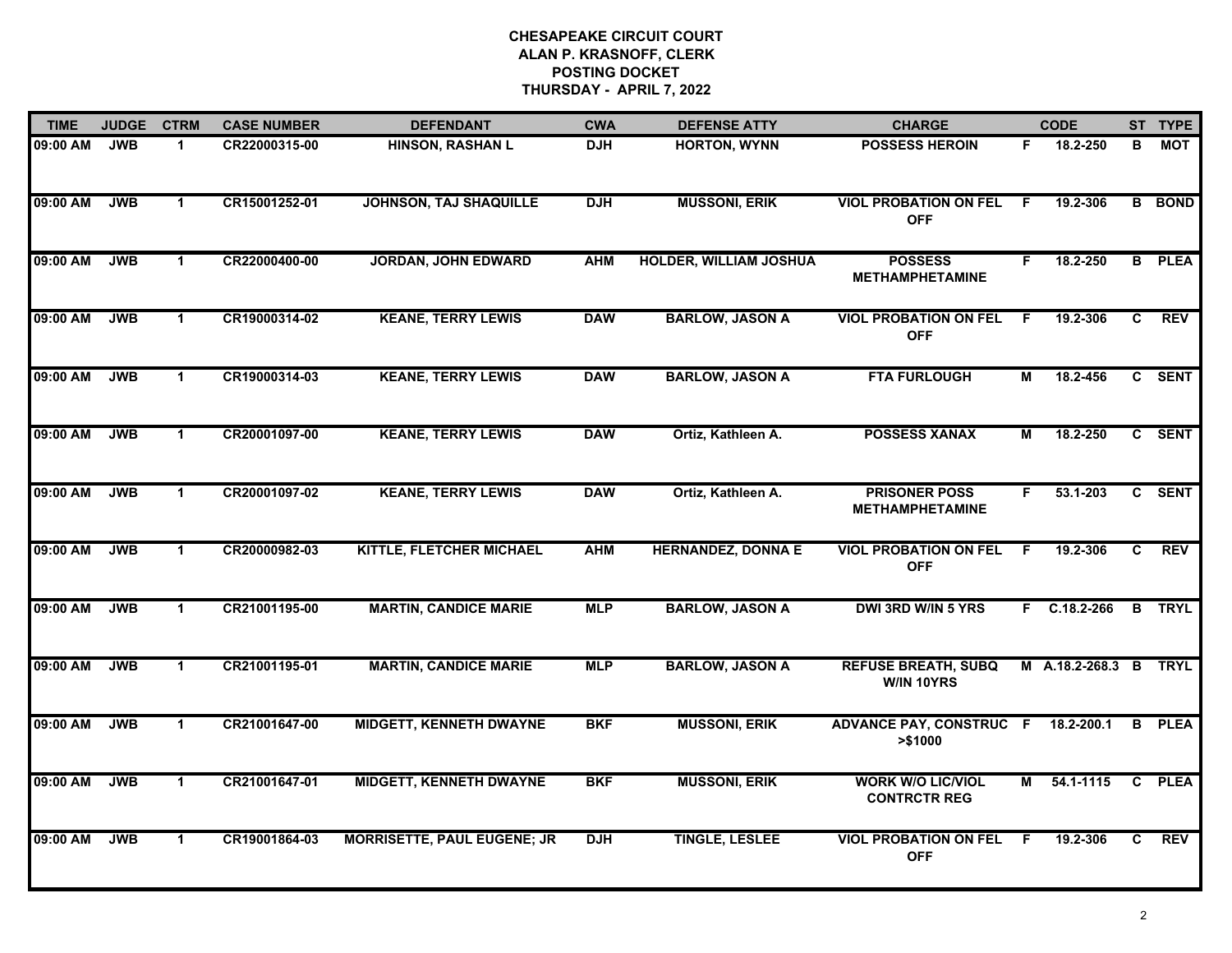| <b>TIME</b> | <b>JUDGE</b> | <b>CTRM</b>          | <b>CASE NUMBER</b> | <b>DEFENDANT</b>                   | <b>CWA</b> | <b>DEFENSE ATTY</b>           | <b>CHARGE</b>                                   |    | <b>CODE</b>           |    | ST TYPE       |
|-------------|--------------|----------------------|--------------------|------------------------------------|------------|-------------------------------|-------------------------------------------------|----|-----------------------|----|---------------|
| 09:00 AM    | <b>JWB</b>   | $\mathbf 1$          | CR22000315-00      | <b>HINSON, RASHAN L</b>            | <b>DJH</b> | <b>HORTON, WYNN</b>           | <b>POSSESS HEROIN</b>                           | F. | 18.2-250              | в  | МОТ           |
| 09:00 AM    | <b>JWB</b>   | $\mathbf{1}$         | CR15001252-01      | <b>JOHNSON, TAJ SHAQUILLE</b>      | <b>DJH</b> | <b>MUSSONI, ERIK</b>          | <b>VIOL PROBATION ON FEL</b><br><b>OFF</b>      | F. | 19.2-306              |    | <b>B</b> BOND |
| 09:00 AM    | <b>JWB</b>   | $\mathbf 1$          | CR22000400-00      | <b>JORDAN, JOHN EDWARD</b>         | <b>AHM</b> | <b>HOLDER, WILLIAM JOSHUA</b> | <b>POSSESS</b><br><b>METHAMPHETAMINE</b>        | F  | 18.2-250              |    | <b>B</b> PLEA |
| 09:00 AM    | <b>JWB</b>   | $\mathbf 1$          | CR19000314-02      | <b>KEANE, TERRY LEWIS</b>          | <b>DAW</b> | <b>BARLOW, JASON A</b>        | <b>VIOL PROBATION ON FEL</b><br><b>OFF</b>      | -F | 19.2-306              | C  | <b>REV</b>    |
| 09:00 AM    | <b>JWB</b>   | $\blacktriangleleft$ | CR19000314-03      | <b>KEANE, TERRY LEWIS</b>          | <b>DAW</b> | <b>BARLOW, JASON A</b>        | <b>FTA FURLOUGH</b>                             | М  | 18.2-456              |    | C SENT        |
| 09:00 AM    | <b>JWB</b>   | $\mathbf{1}$         | CR20001097-00      | <b>KEANE, TERRY LEWIS</b>          | <b>DAW</b> | Ortiz, Kathleen A.            | <b>POSSESS XANAX</b>                            | М  | 18.2-250              |    | C SENT        |
| 09:00 AM    | <b>JWB</b>   | $\mathbf{1}$         | CR20001097-02      | <b>KEANE, TERRY LEWIS</b>          | <b>DAW</b> | Ortiz, Kathleen A.            | <b>PRISONER POSS</b><br><b>METHAMPHETAMINE</b>  | F. | 53.1-203              |    | C SENT        |
| 09:00 AM    | <b>JWB</b>   | $\mathbf{1}$         | CR20000982-03      | KITTLE, FLETCHER MICHAEL           | <b>AHM</b> | <b>HERNANDEZ, DONNA E</b>     | <b>VIOL PROBATION ON FEL</b><br><b>OFF</b>      | F  | 19.2-306              | C  | <b>REV</b>    |
| 09:00 AM    | <b>JWB</b>   | $\blacktriangleleft$ | CR21001195-00      | <b>MARTIN, CANDICE MARIE</b>       | <b>MLP</b> | <b>BARLOW, JASON A</b>        | <b>DWI 3RD W/IN 5 YRS</b>                       |    | F C.18.2-266          |    | <b>B</b> TRYL |
| 09:00 AM    | <b>JWB</b>   | $\mathbf 1$          | CR21001195-01      | <b>MARTIN, CANDICE MARIE</b>       | <b>MLP</b> | <b>BARLOW, JASON A</b>        | <b>REFUSE BREATH, SUBQ</b><br>W/IN 10YRS        |    | M A.18.2-268.3 B TRYL |    |               |
| 09:00 AM    | <b>JWB</b>   | $\mathbf 1$          | CR21001647-00      | <b>MIDGETT, KENNETH DWAYNE</b>     | <b>BKF</b> | <b>MUSSONI, ERIK</b>          | <b>ADVANCE PAY, CONSTRUC F</b><br>> \$1000      |    | 18.2-200.1            |    | <b>B</b> PLEA |
| 09:00 AM    | <b>JWB</b>   | $\mathbf{1}$         | CR21001647-01      | <b>MIDGETT, KENNETH DWAYNE</b>     | <b>BKF</b> | <b>MUSSONI, ERIK</b>          | <b>WORK W/O LIC/VIOL</b><br><b>CONTRCTR REG</b> | М  | 54.1-1115             |    | C PLEA        |
| 09:00 AM    | <b>JWB</b>   | $\mathbf{1}$         | CR19001864-03      | <b>MORRISETTE, PAUL EUGENE; JR</b> | <b>DJH</b> | <b>TINGLE, LESLEE</b>         | <b>VIOL PROBATION ON FEL</b><br><b>OFF</b>      | -F | 19.2-306              | C. | <b>REV</b>    |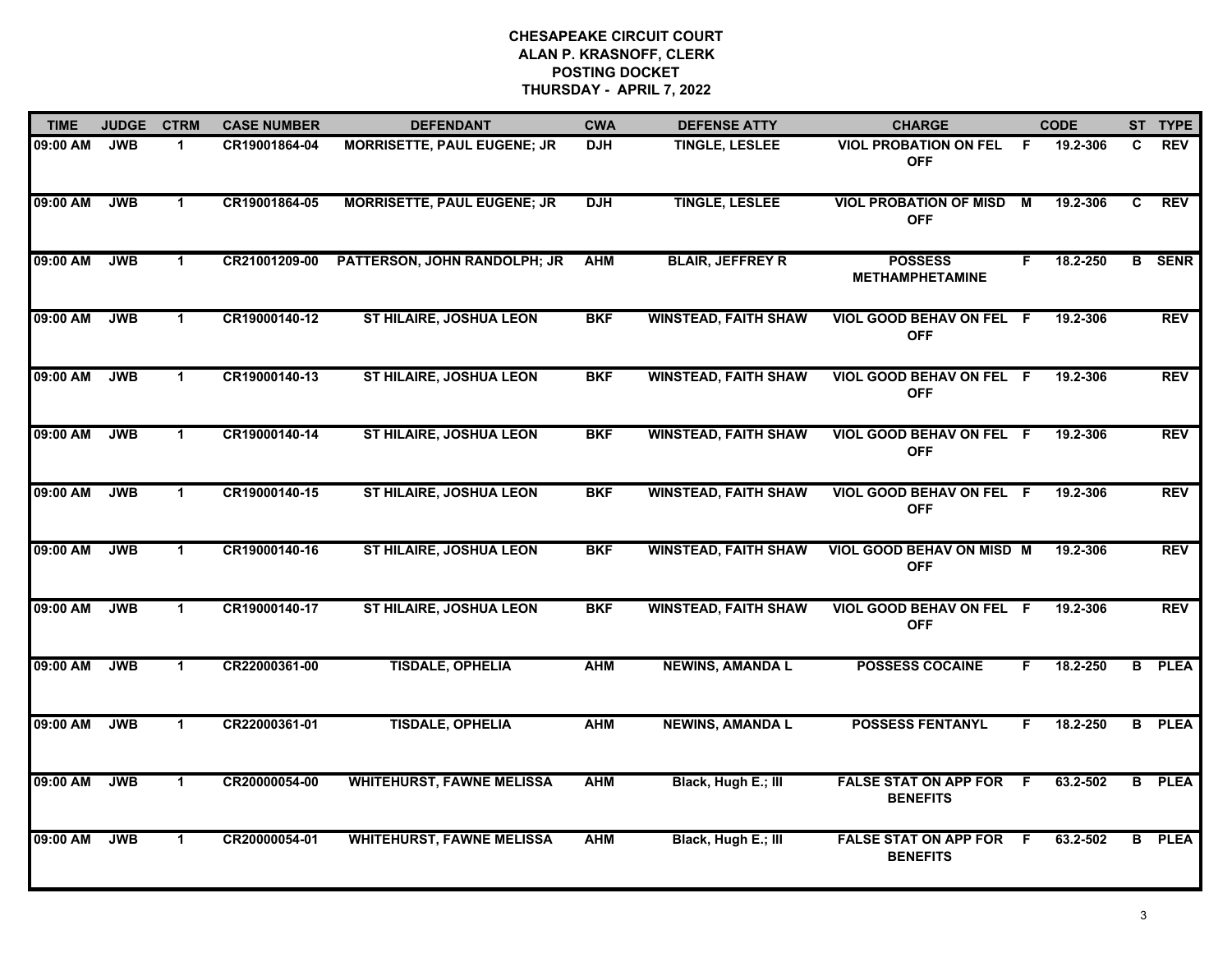| <b>TIME</b> | <b>JUDGE</b> | <b>CTRM</b>  | <b>CASE NUMBER</b> | <b>DEFENDANT</b>                   | <b>CWA</b> | <b>DEFENSE ATTY</b>         | <b>CHARGE</b>                                     |     | <b>CODE</b> |   | ST TYPE       |
|-------------|--------------|--------------|--------------------|------------------------------------|------------|-----------------------------|---------------------------------------------------|-----|-------------|---|---------------|
| 09:00 AM    | <b>JWB</b>   | 1            | CR19001864-04      | <b>MORRISETTE, PAUL EUGENE; JR</b> | <b>DJH</b> | <b>TINGLE, LESLEE</b>       | VIOL PROBATION ON FEL F<br><b>OFF</b>             |     | 19.2-306    | C | <b>REV</b>    |
| 09:00 AM    | <b>JWB</b>   | $\mathbf 1$  | CR19001864-05      | <b>MORRISETTE, PAUL EUGENE; JR</b> | <b>DJH</b> | <b>TINGLE, LESLEE</b>       | <b>VIOL PROBATION OF MISD</b><br><b>OFF</b>       | M   | 19.2-306    | C | <b>REV</b>    |
| 09:00 AM    | <b>JWB</b>   | $\mathbf 1$  | CR21001209-00      | PATTERSON, JOHN RANDOLPH; JR       | <b>AHM</b> | <b>BLAIR, JEFFREY R</b>     | <b>POSSESS</b><br><b>METHAMPHETAMINE</b>          | F.  | 18.2-250    |   | <b>B</b> SENR |
| 09:00 AM    | <b>JWB</b>   | $\mathbf 1$  | CR19000140-12      | ST HILAIRE, JOSHUA LEON            | <b>BKF</b> | <b>WINSTEAD, FAITH SHAW</b> | VIOL GOOD BEHAV ON FEL F<br><b>OFF</b>            |     | 19.2-306    |   | <b>REV</b>    |
| 09:00 AM    | <b>JWB</b>   | $\mathbf 1$  | CR19000140-13      | <b>ST HILAIRE, JOSHUA LEON</b>     | <b>BKF</b> | <b>WINSTEAD, FAITH SHAW</b> | VIOL GOOD BEHAV ON FEL F<br><b>OFF</b>            |     | 19.2-306    |   | <b>REV</b>    |
| 09:00 AM    | <b>JWB</b>   | $\mathbf 1$  | CR19000140-14      | <b>ST HILAIRE, JOSHUA LEON</b>     | <b>BKF</b> | <b>WINSTEAD, FAITH SHAW</b> | VIOL GOOD BEHAV ON FEL F<br><b>OFF</b>            |     | 19.2-306    |   | <b>REV</b>    |
| 09:00 AM    | <b>JWB</b>   | $\mathbf{1}$ | CR19000140-15      | <b>ST HILAIRE, JOSHUA LEON</b>     | <b>BKF</b> | <b>WINSTEAD, FAITH SHAW</b> | VIOL GOOD BEHAV ON FEL F<br><b>OFF</b>            |     | 19.2-306    |   | <b>REV</b>    |
| 09:00 AM    | <b>JWB</b>   | $\mathbf 1$  | CR19000140-16      | <b>ST HILAIRE, JOSHUA LEON</b>     | <b>BKF</b> | <b>WINSTEAD, FAITH SHAW</b> | <b>VIOL GOOD BEHAV ON MISD M</b><br><b>OFF</b>    |     | 19.2-306    |   | <b>REV</b>    |
| 09:00 AM    | <b>JWB</b>   | 1            | CR19000140-17      | <b>ST HILAIRE, JOSHUA LEON</b>     | <b>BKF</b> | <b>WINSTEAD, FAITH SHAW</b> | VIOL GOOD BEHAV ON FEL F<br><b>OFF</b>            |     | 19.2-306    |   | <b>REV</b>    |
| 09:00 AM    | <b>JWB</b>   | 1            | CR22000361-00      | <b>TISDALE, OPHELIA</b>            | <b>AHM</b> | <b>NEWINS, AMANDA L</b>     | <b>POSSESS COCAINE</b>                            | F.  | 18.2-250    |   | <b>B</b> PLEA |
| 09:00 AM    | <b>JWB</b>   | $\mathbf 1$  | CR22000361-01      | <b>TISDALE, OPHELIA</b>            | <b>AHM</b> | <b>NEWINS, AMANDA L</b>     | <b>POSSESS FENTANYL</b>                           | F.  | 18.2-250    |   | <b>B</b> PLEA |
| 09:00 AM    | <b>JWB</b>   | $\mathbf{1}$ | CR20000054-00      | <b>WHITEHURST, FAWNE MELISSA</b>   | <b>AHM</b> | Black, Hugh E.; Ill         | <b>FALSE STAT ON APP FOR</b><br><b>BENEFITS</b>   | - F | 63.2-502    |   | <b>B</b> PLEA |
| 09:00 AM    | <b>JWB</b>   | $\mathbf 1$  | CR20000054-01      | <b>WHITEHURST, FAWNE MELISSA</b>   | <b>AHM</b> | Black, Hugh E.; III         | <b>FALSE STAT ON APP FOR F</b><br><b>BENEFITS</b> |     | 63.2-502    |   | <b>B</b> PLEA |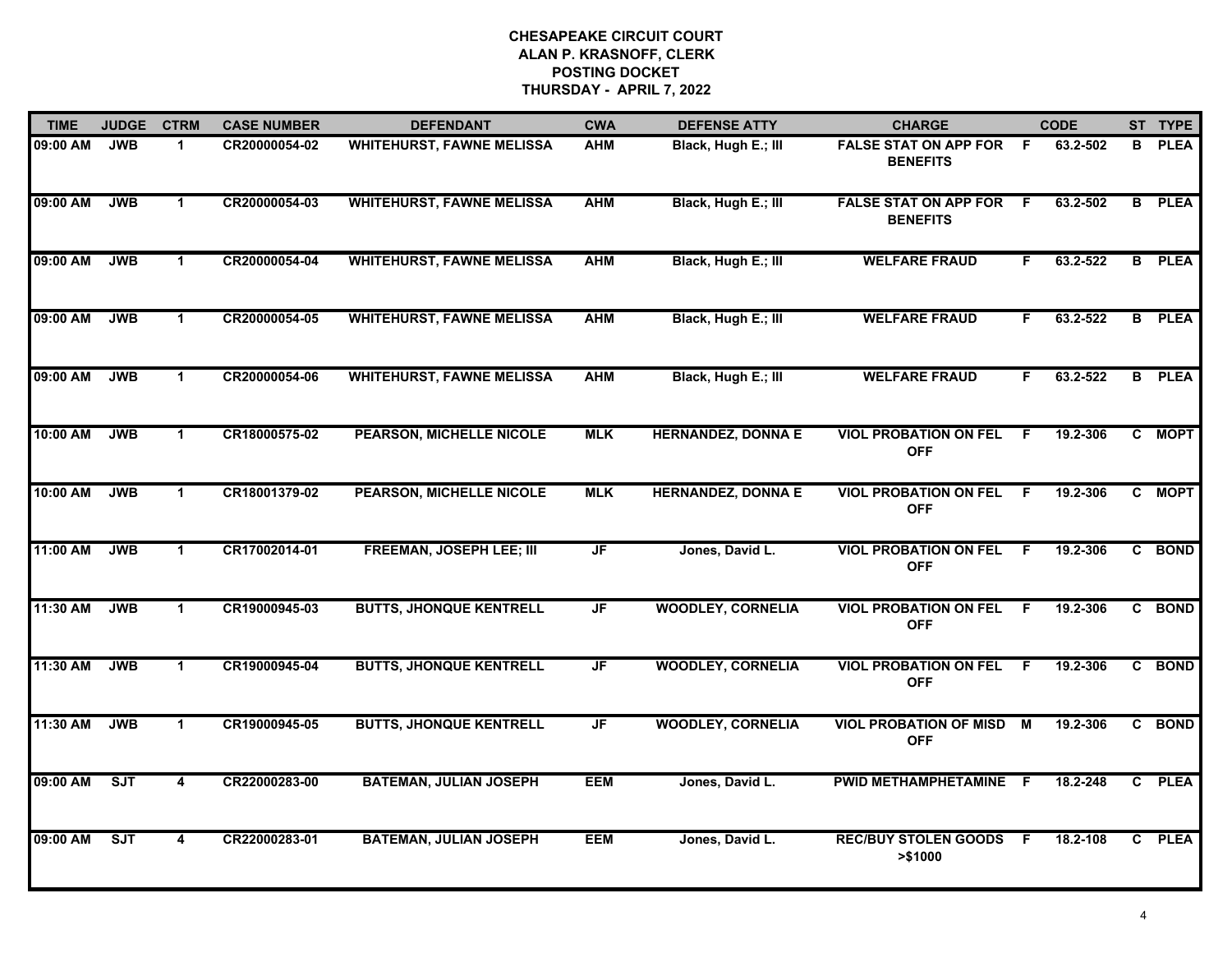| <b>TIME</b> | <b>JUDGE</b> | <b>CTRM</b>          | <b>CASE NUMBER</b> | <b>DEFENDANT</b>                 | <b>CWA</b>               | <b>DEFENSE ATTY</b>       | <b>CHARGE</b>                                   |     | <b>CODE</b> |                | ST TYPE       |
|-------------|--------------|----------------------|--------------------|----------------------------------|--------------------------|---------------------------|-------------------------------------------------|-----|-------------|----------------|---------------|
| 09:00 AM    | <b>JWB</b>   | $\mathbf 1$          | CR20000054-02      | <b>WHITEHURST, FAWNE MELISSA</b> | <b>AHM</b>               | Black, Hugh E.; III       | <b>FALSE STAT ON APP FOR</b><br><b>BENEFITS</b> | -F  | 63.2-502    | B              | <b>PLEA</b>   |
| 09:00 AM    | <b>JWB</b>   | $\mathbf{1}$         | CR20000054-03      | <b>WHITEHURST, FAWNE MELISSA</b> | <b>AHM</b>               | Black, Hugh E.; III       | <b>FALSE STAT ON APP FOR</b><br><b>BENEFITS</b> | -F  | 63.2-502    | B              | <b>PLEA</b>   |
| 09:00 AM    | <b>JWB</b>   | $\mathbf 1$          | CR20000054-04      | <b>WHITEHURST, FAWNE MELISSA</b> | <b>AHM</b>               | Black, Hugh E.; III       | <b>WELFARE FRAUD</b>                            | F.  | 63.2-522    |                | <b>B</b> PLEA |
| 09:00 AM    | <b>JWB</b>   | $\mathbf{1}$         | CR20000054-05      | <b>WHITEHURST, FAWNE MELISSA</b> | <b>AHM</b>               | Black, Hugh E.; III       | <b>WELFARE FRAUD</b>                            | F.  | 63.2-522    |                | <b>B</b> PLEA |
| 09:00 AM    | <b>JWB</b>   | $\mathbf 1$          | CR20000054-06      | <b>WHITEHURST, FAWNE MELISSA</b> | <b>AHM</b>               | Black, Hugh E.; III       | <b>WELFARE FRAUD</b>                            | F.  | 63.2-522    |                | <b>B</b> PLEA |
| 10:00 AM    | <b>JWB</b>   | $\blacktriangleleft$ | CR18000575-02      | <b>PEARSON, MICHELLE NICOLE</b>  | <b>MLK</b>               | <b>HERNANDEZ, DONNA E</b> | <b>VIOL PROBATION ON FEL</b><br><b>OFF</b>      | - F | 19.2-306    |                | C MOPT        |
| 10:00 AM    | <b>JWB</b>   | $\blacktriangleleft$ | CR18001379-02      | <b>PEARSON, MICHELLE NICOLE</b>  | <b>MLK</b>               | <b>HERNANDEZ, DONNA E</b> | <b>VIOL PROBATION ON FEL</b><br><b>OFF</b>      | - F | 19.2-306    | C.             | <b>MOPT</b>   |
| 11:00 AM    | <b>JWB</b>   | $\blacktriangleleft$ | CR17002014-01      | <b>FREEMAN, JOSEPH LEE; III</b>  | $\overline{\mathsf{JF}}$ | Jones, David L.           | <b>VIOL PROBATION ON FEL</b><br><b>OFF</b>      | -F  | 19.2-306    |                | C BOND        |
| 11:30 AM    | <b>JWB</b>   | $\blacktriangleleft$ | CR19000945-03      | <b>BUTTS, JHONQUE KENTRELL</b>   | <b>JF</b>                | <b>WOODLEY, CORNELIA</b>  | <b>VIOL PROBATION ON FEL</b><br><b>OFF</b>      | -F  | 19.2-306    |                | C BOND        |
| 11:30 AM    | <b>JWB</b>   | $\mathbf{1}$         | CR19000945-04      | <b>BUTTS, JHONQUE KENTRELL</b>   | $\overline{\mathsf{JF}}$ | <b>WOODLEY, CORNELIA</b>  | <b>VIOL PROBATION ON FEL</b><br><b>OFF</b>      | F.  | 19.2-306    |                | C BOND        |
| 11:30 AM    | <b>JWB</b>   | $\blacktriangleleft$ | CR19000945-05      | <b>BUTTS, JHONQUE KENTRELL</b>   | JF                       | <b>WOODLEY, CORNELIA</b>  | <b>VIOL PROBATION OF MISD M</b><br><b>OFF</b>   |     | 19.2-306    |                | C BOND        |
| 09:00 AM    | ST           | 4                    | CR22000283-00      | <b>BATEMAN, JULIAN JOSEPH</b>    | <b>EEM</b>               | Jones, David L.           | PWID METHAMPHETAMINE                            | - F | 18.2-248    | $\overline{c}$ | <b>PLEA</b>   |
| 09:00 AM    | ST           | 4                    | CR22000283-01      | <b>BATEMAN, JULIAN JOSEPH</b>    | <b>EEM</b>               | Jones, David L.           | <b>REC/BUY STOLEN GOODS</b><br>> \$1000         | F.  | 18.2-108    |                | C PLEA        |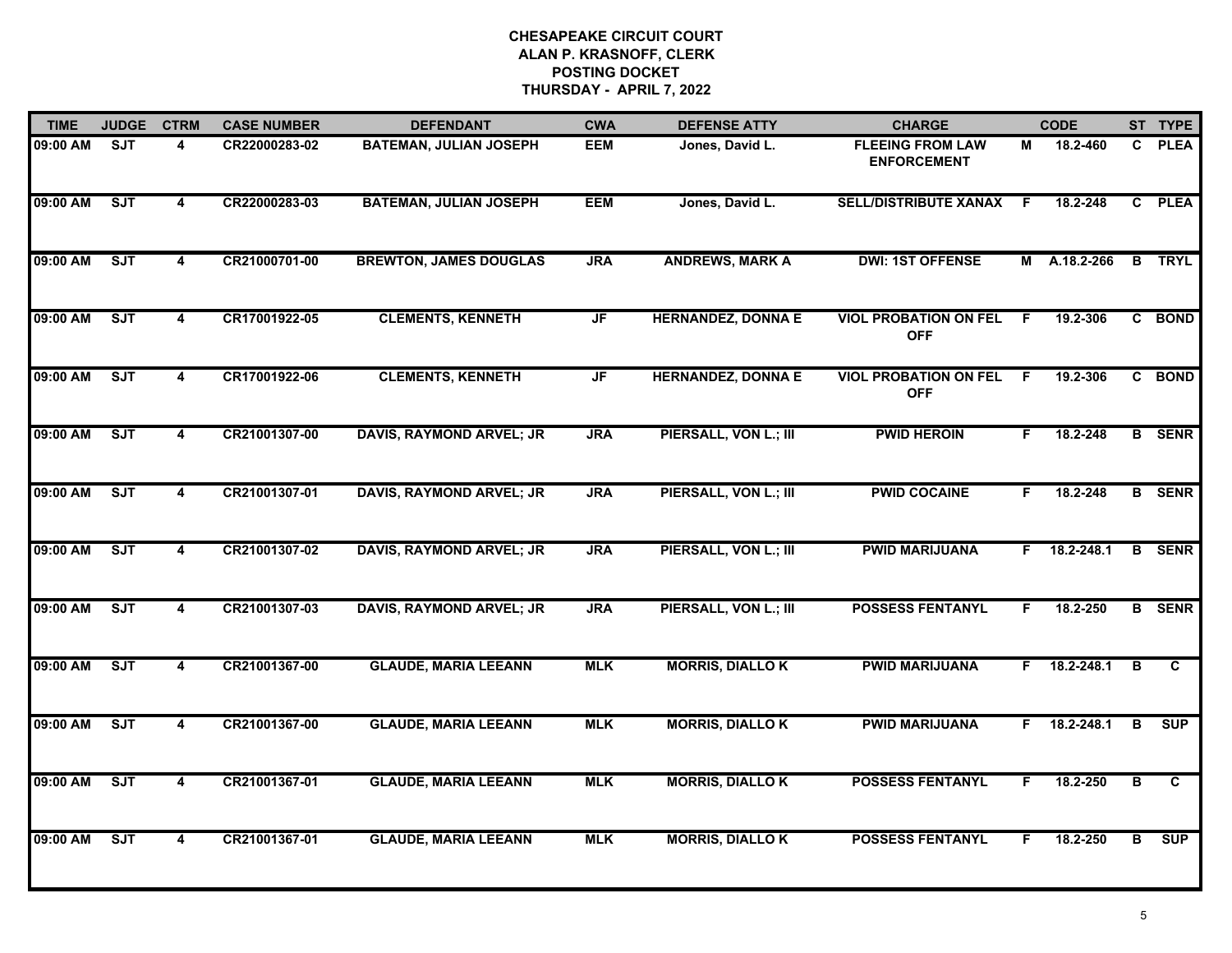| 09:00 AM<br>09:00 AM | <b>SJT</b> | 4                       | CR22000283-02 | <b>BATEMAN, JULIAN JOSEPH</b>   |            |                           |                                               |    |                |                         |               |
|----------------------|------------|-------------------------|---------------|---------------------------------|------------|---------------------------|-----------------------------------------------|----|----------------|-------------------------|---------------|
|                      |            |                         |               |                                 | <b>EEM</b> | Jones, David L.           | <b>FLEEING FROM LAW</b><br><b>ENFORCEMENT</b> | М  | 18.2-460       | C.                      | <b>PLEA</b>   |
|                      | <b>SJT</b> | 4                       | CR22000283-03 | <b>BATEMAN, JULIAN JOSEPH</b>   | <b>EEM</b> | Jones, David L.           | <b>SELL/DISTRIBUTE XANAX</b>                  | -F | 18.2-248       |                         | C PLEA        |
| 09:00 AM             | ST         | $\overline{\mathbf{4}}$ | CR21000701-00 | <b>BREWTON, JAMES DOUGLAS</b>   | <b>JRA</b> | <b>ANDREWS, MARK A</b>    | <b>DWI: 1ST OFFENSE</b>                       |    | M A.18.2-266   |                         | <b>B</b> TRYL |
| 09:00 AM             | SJT        | 4                       | CR17001922-05 | <b>CLEMENTS, KENNETH</b>        | JF         | <b>HERNANDEZ, DONNA E</b> | <b>VIOL PROBATION ON FEL</b><br><b>OFF</b>    | F  | 19.2-306       |                         | C BOND        |
| 09:00 AM             | ST         | 4                       | CR17001922-06 | <b>CLEMENTS, KENNETH</b>        | JF         | <b>HERNANDEZ, DONNA E</b> | <b>VIOL PROBATION ON FEL</b><br><b>OFF</b>    | F. | 19.2-306       |                         | C BOND        |
| 09:00 AM             | ST         | 4                       | CR21001307-00 | DAVIS, RAYMOND ARVEL; JR        | <b>JRA</b> | PIERSALL, VON L.; III     | <b>PWID HEROIN</b>                            | F. | 18.2-248       |                         | <b>B</b> SENR |
| 09:00 AM             | SJT        | 4                       | CR21001307-01 | DAVIS, RAYMOND ARVEL; JR        | <b>JRA</b> | PIERSALL, VON L.; III     | <b>PWID COCAINE</b>                           | F  | 18.2-248       |                         | <b>B</b> SENR |
| 09:00 AM             | ST         | $\overline{4}$          | CR21001307-02 | <b>DAVIS, RAYMOND ARVEL; JR</b> | <b>JRA</b> | PIERSALL, VON L.; III     | <b>PWID MARIJUANA</b>                         | F. | 18.2-248.1     |                         | <b>B</b> SENR |
| 09:00 AM             | SJT        | 4                       | CR21001307-03 | <b>DAVIS, RAYMOND ARVEL; JR</b> | <b>JRA</b> | PIERSALL, VON L.; III     | <b>POSSESS FENTANYL</b>                       | F  | 18.2-250       |                         | <b>B</b> SENR |
| 09:00 AM             | SJT        | 4                       | CR21001367-00 | <b>GLAUDE, MARIA LEEANN</b>     | <b>MLK</b> | <b>MORRIS, DIALLOK</b>    | <b>PWID MARIJUANA</b>                         |    | $F$ 18.2-248.1 | B                       | C             |
| 09:00 AM             | SJT        | 4                       | CR21001367-00 | <b>GLAUDE, MARIA LEEANN</b>     | <b>MLK</b> | <b>MORRIS, DIALLOK</b>    | <b>PWID MARIJUANA</b>                         |    | $F$ 18.2-248.1 | В                       | <b>SUP</b>    |
| 09:00 AM             | ST         | 4                       | CR21001367-01 | <b>GLAUDE, MARIA LEEANN</b>     | <b>MLK</b> | <b>MORRIS, DIALLO K</b>   | <b>POSSESS FENTANYL</b>                       | F  | 18.2-250       | $\overline{\mathbf{B}}$ | C             |
| 09:00 AM             | ST         | $\overline{4}$          | CR21001367-01 | <b>GLAUDE, MARIA LEEANN</b>     | <b>MLK</b> | <b>MORRIS, DIALLOK</b>    | <b>POSSESS FENTANYL</b>                       | F. | 18.2-250       | $\overline{B}$          | <b>SUP</b>    |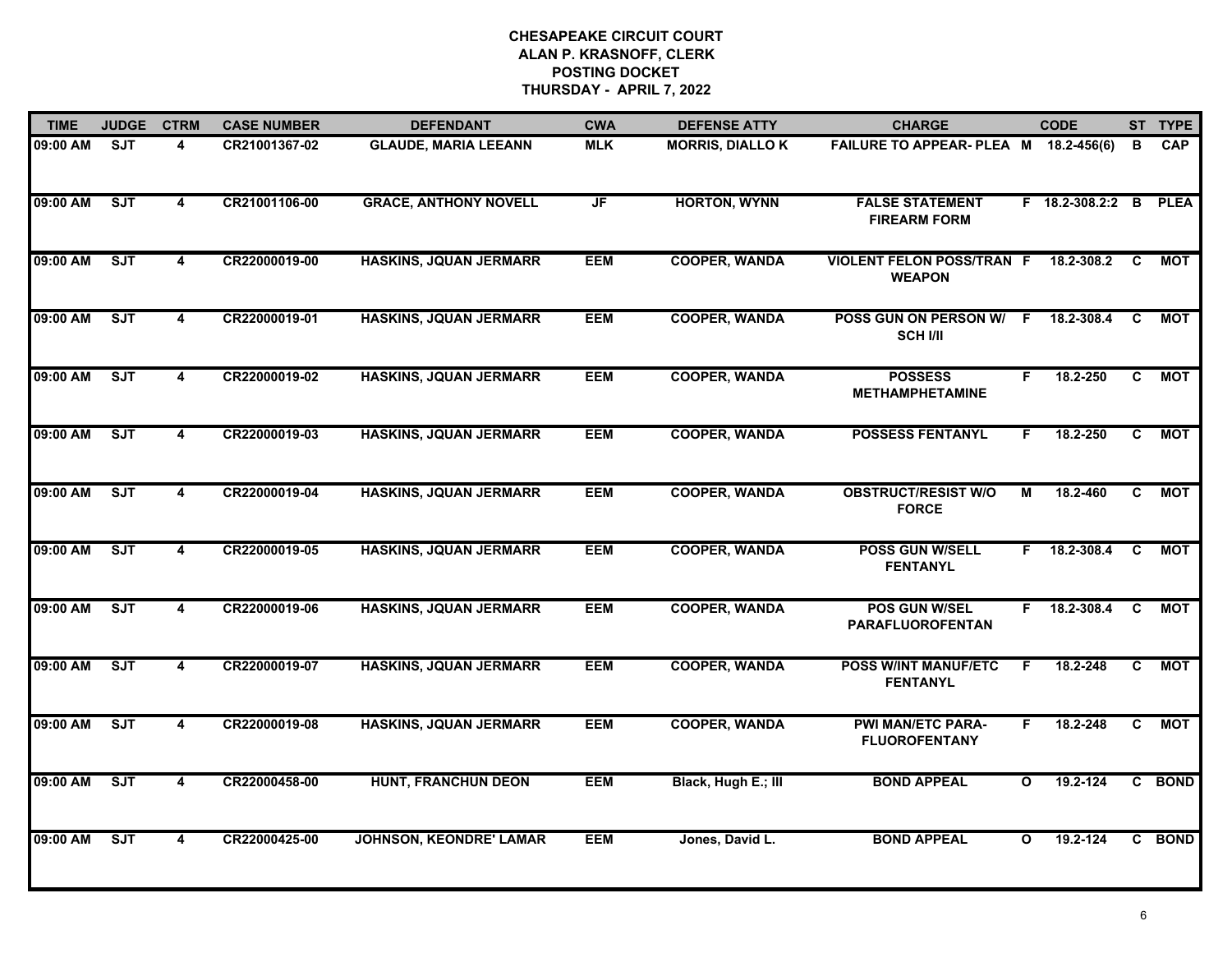| <b>TIME</b> | <b>JUDGE</b> | <b>CTRM</b>             | <b>CASE NUMBER</b> | <b>DEFENDANT</b>               | <b>CWA</b> | <b>DEFENSE ATTY</b>    | <b>CHARGE</b>                                     |              | <b>CODE</b>           |    | ST TYPE    |
|-------------|--------------|-------------------------|--------------------|--------------------------------|------------|------------------------|---------------------------------------------------|--------------|-----------------------|----|------------|
| 09:00 AM    | <b>SJT</b>   | 4                       | CR21001367-02      | <b>GLAUDE, MARIA LEEANN</b>    | <b>MLK</b> | <b>MORRIS, DIALLOK</b> | FAILURE TO APPEAR- PLEA M 18.2-456(6)             |              |                       | В  | <b>CAP</b> |
| 09:00 AM    | SJT          | 4                       | CR21001106-00      | <b>GRACE, ANTHONY NOVELL</b>   | JF         | <b>HORTON, WYNN</b>    | <b>FALSE STATEMENT</b><br><b>FIREARM FORM</b>     |              | F 18.2-308.2:2 B PLEA |    |            |
| 09:00 AM    | ST           | $\overline{\mathbf{4}}$ | CR22000019-00      | <b>HASKINS, JQUAN JERMARR</b>  | <b>EEM</b> | <b>COOPER, WANDA</b>   | <b>VIOLENT FELON POSS/TRAN F</b><br><b>WEAPON</b> |              | 18.2-308.2            | C  | MOT        |
| 09:00 AM    | SJT          | 4                       | CR22000019-01      | <b>HASKINS, JQUAN JERMARR</b>  | <b>EEM</b> | <b>COOPER, WANDA</b>   | POSS GUN ON PERSON W/ F<br><b>SCH I/II</b>        |              | 18.2-308.4            | C  | MOT        |
| 09:00 AM    | SJT          | 4                       | CR22000019-02      | <b>HASKINS, JQUAN JERMARR</b>  | <b>EEM</b> | <b>COOPER, WANDA</b>   | <b>POSSESS</b><br><b>METHAMPHETAMINE</b>          | F.           | 18.2-250              | C  | <b>MOT</b> |
| 09:00 AM    | ST           | 4                       | CR22000019-03      | <b>HASKINS, JQUAN JERMARR</b>  | <b>EEM</b> | <b>COOPER, WANDA</b>   | <b>POSSESS FENTANYL</b>                           | F.           | 18.2-250              | C. | MOT        |
| 09:00 AM    | ST           | 4                       | CR22000019-04      | <b>HASKINS, JQUAN JERMARR</b>  | <b>EEM</b> | <b>COOPER, WANDA</b>   | <b>OBSTRUCT/RESIST W/O</b><br><b>FORCE</b>        | M            | 18.2-460              | C  | <b>MOT</b> |
| 09:00 AM    | SJT          | $\overline{4}$          | CR22000019-05      | <b>HASKINS, JQUAN JERMARR</b>  | <b>EEM</b> | <b>COOPER, WANDA</b>   | <b>POSS GUN W/SELL</b><br><b>FENTANYL</b>         | F.           | 18.2-308.4            | C  | МОТ        |
| 09:00 AM    | SJT          | 4                       | CR22000019-06      | <b>HASKINS, JQUAN JERMARR</b>  | <b>EEM</b> | <b>COOPER, WANDA</b>   | POS GUN W/SEL<br><b>PARAFLUOROFENTAN</b>          | F.           | 18.2-308.4            | C  | <b>MOT</b> |
| 09:00 AM    | SJT          | 4                       | CR22000019-07      | <b>HASKINS, JQUAN JERMARR</b>  | <b>EEM</b> | <b>COOPER, WANDA</b>   | <b>POSS W/INT MANUF/ETC</b><br><b>FENTANYL</b>    | F            | 18.2-248              | C  | <b>MOT</b> |
| 09:00 AM    | SJT          | 4                       | CR22000019-08      | <b>HASKINS, JQUAN JERMARR</b>  | <b>EEM</b> | <b>COOPER, WANDA</b>   | <b>PWI MAN/ETC PARA-</b><br><b>FLUOROFENTANY</b>  | F.           | 18.2-248              | C. | <b>MOT</b> |
| 09:00 AM    | ST           | 4                       | CR22000458-00      | <b>HUNT, FRANCHUN DEON</b>     | <b>EEM</b> | Black, Hugh E.; III    | <b>BOND APPEAL</b>                                | $\mathbf{o}$ | 19.2-124              |    | C BOND     |
| 09:00 AM    | SJT          | $\overline{4}$          | CR22000425-00      | <b>JOHNSON, KEONDRE' LAMAR</b> | <b>EEM</b> | Jones, David L.        | <b>BOND APPEAL</b>                                | $\mathbf{o}$ | 19.2-124              |    | C BOND     |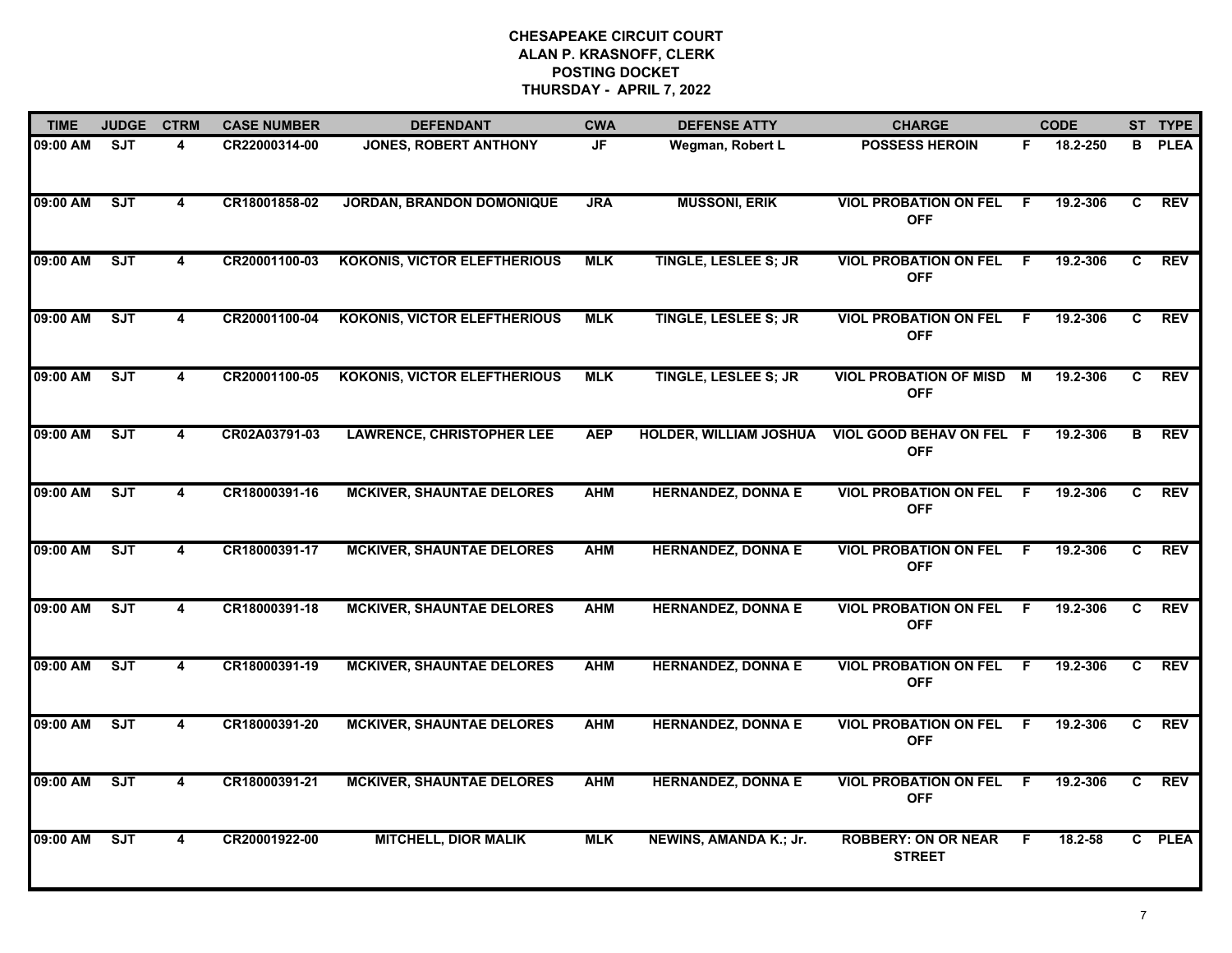| <b>TIME</b> | <b>JUDGE</b> | <b>CTRM</b>             | <b>CASE NUMBER</b> | <b>DEFENDANT</b>                    | <b>CWA</b> | <b>DEFENSE ATTY</b>           | <b>CHARGE</b>                               |    | <b>CODE</b> |    | ST TYPE     |
|-------------|--------------|-------------------------|--------------------|-------------------------------------|------------|-------------------------------|---------------------------------------------|----|-------------|----|-------------|
| 09:00 AM    | <b>SJT</b>   | 4                       | CR22000314-00      | <b>JONES, ROBERT ANTHONY</b>        | JF         | Wegman, Robert L              | <b>POSSESS HEROIN</b>                       | F. | 18.2-250    | B  | <b>PLEA</b> |
| 09:00 AM    | ST           | 4                       | CR18001858-02      | <b>JORDAN, BRANDON DOMONIQUE</b>    | <b>JRA</b> | <b>MUSSONI, ERIK</b>          | <b>VIOL PROBATION ON FEL</b><br><b>OFF</b>  | F. | 19.2-306    | C  | <b>REV</b>  |
| 09:00 AM    | ST           | 4                       | CR20001100-03      | <b>KOKONIS, VICTOR ELEFTHERIOUS</b> | <b>MLK</b> | <b>TINGLE, LESLEE S; JR</b>   | <b>VIOL PROBATION ON FEL</b><br><b>OFF</b>  | F. | 19.2-306    | C. | <b>REV</b>  |
| 09:00 AM    | <b>SJT</b>   | 4                       | CR20001100-04      | <b>KOKONIS, VICTOR ELEFTHERIOUS</b> | <b>MLK</b> | <b>TINGLE, LESLEE S; JR</b>   | <b>VIOL PROBATION ON FEL</b><br><b>OFF</b>  | F. | 19.2-306    | C. | <b>REV</b>  |
| 09:00 AM    | ST           | 4                       | CR20001100-05      | <b>KOKONIS, VICTOR ELEFTHERIOUS</b> | <b>MLK</b> | <b>TINGLE, LESLEE S; JR</b>   | <b>VIOL PROBATION OF MISD</b><br><b>OFF</b> | M  | 19.2-306    | C  | <b>REV</b>  |
| 09:00 AM    | SJT          | 4                       | CR02A03791-03      | <b>LAWRENCE, CHRISTOPHER LEE</b>    | <b>AEP</b> | <b>HOLDER, WILLIAM JOSHUA</b> | VIOL GOOD BEHAV ON FEL F<br><b>OFF</b>      |    | 19.2-306    | В  | <b>REV</b>  |
| 09:00 AM    | SJT          | $\overline{\mathbf{4}}$ | CR18000391-16      | <b>MCKIVER, SHAUNTAE DELORES</b>    | <b>AHM</b> | <b>HERNANDEZ, DONNA E</b>     | <b>VIOL PROBATION ON FEL</b><br><b>OFF</b>  | F  | 19.2-306    | C. | <b>REV</b>  |
| 09:00 AM    | ST           | 4                       | CR18000391-17      | <b>MCKIVER, SHAUNTAE DELORES</b>    | <b>AHM</b> | <b>HERNANDEZ, DONNA E</b>     | <b>VIOL PROBATION ON FEL</b><br><b>OFF</b>  | E  | 19.2-306    | C. | <b>REV</b>  |
| 09:00 AM    | <b>SJT</b>   | 4                       | CR18000391-18      | <b>MCKIVER, SHAUNTAE DELORES</b>    | <b>AHM</b> | <b>HERNANDEZ, DONNA E</b>     | <b>VIOL PROBATION ON FEL</b><br><b>OFF</b>  | F. | 19.2-306    | C. | <b>REV</b>  |
| 09:00 AM    | SJT          | 4                       | CR18000391-19      | <b>MCKIVER, SHAUNTAE DELORES</b>    | <b>AHM</b> | <b>HERNANDEZ, DONNA E</b>     | <b>VIOL PROBATION ON FEL</b><br><b>OFF</b>  | F  | 19.2-306    | C  | <b>REV</b>  |
| 09:00 AM    | SJT          | 4                       | CR18000391-20      | <b>MCKIVER, SHAUNTAE DELORES</b>    | <b>AHM</b> | <b>HERNANDEZ, DONNA E</b>     | <b>VIOL PROBATION ON FEL</b><br><b>OFF</b>  | -F | 19.2-306    | C  | <b>REV</b>  |
| 09:00 AM    | ST           | 4                       | CR18000391-21      | <b>MCKIVER, SHAUNTAE DELORES</b>    | <b>AHM</b> | <b>HERNANDEZ, DONNA E</b>     | <b>VIOL PROBATION ON FEL</b><br><b>OFF</b>  | F. | 19.2-306    | C. | <b>REV</b>  |
| 09:00 AM    | ST           | 4                       | CR20001922-00      | <b>MITCHELL, DIOR MALIK</b>         | <b>MLK</b> | NEWINS, AMANDA K.; Jr.        | <b>ROBBERY: ON OR NEAR</b><br><b>STREET</b> | F. | $18.2 - 58$ |    | C PLEA      |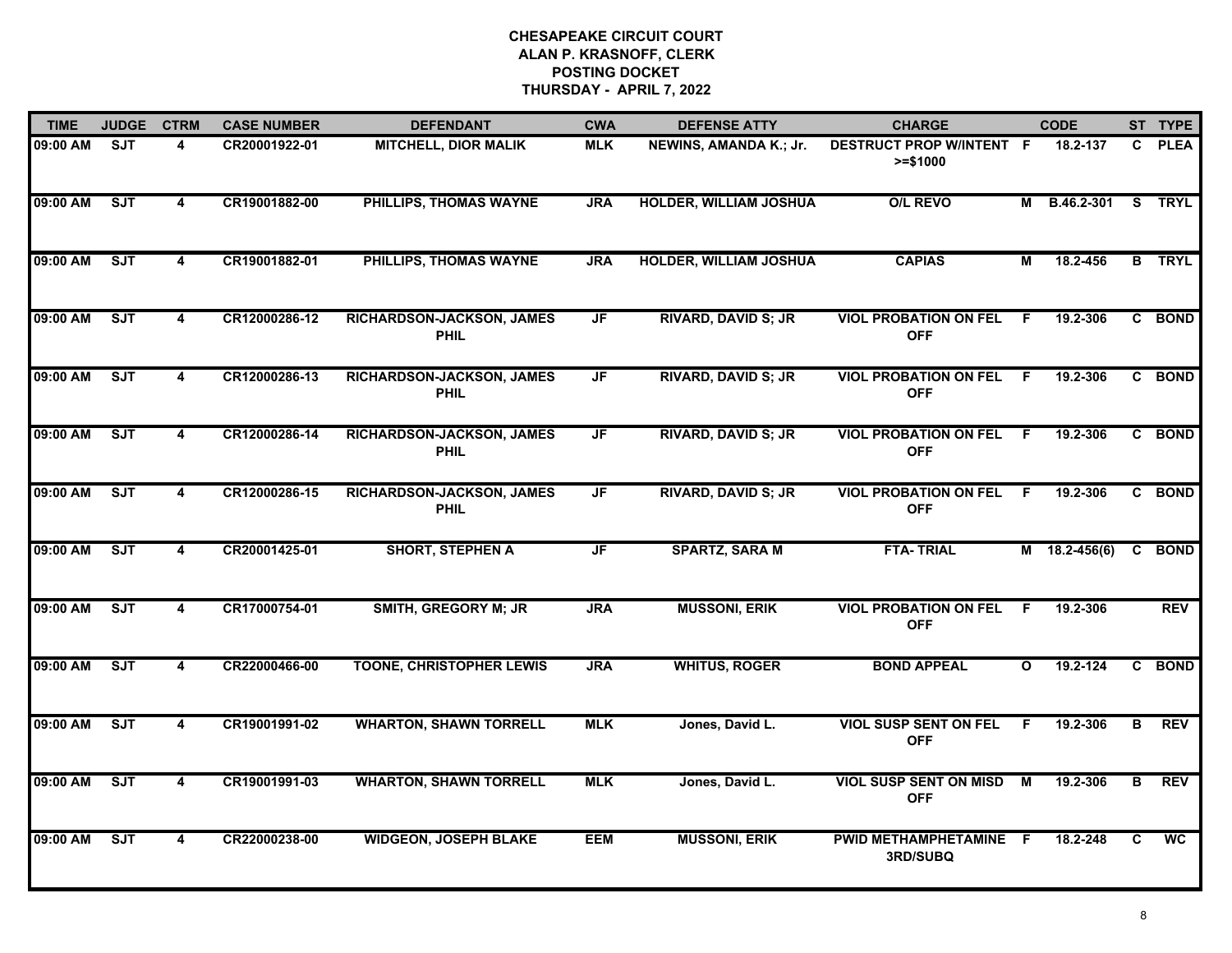| <b>TIME</b> | <b>JUDGE</b> | <b>CTRM</b>             | <b>CASE NUMBER</b> | <b>DEFENDANT</b>                         | <b>CWA</b>               | <b>DEFENSE ATTY</b>           | <b>CHARGE</b>                                 |              | <b>CODE</b>       |    | ST TYPE       |
|-------------|--------------|-------------------------|--------------------|------------------------------------------|--------------------------|-------------------------------|-----------------------------------------------|--------------|-------------------|----|---------------|
| 09:00 AM    | <b>SJT</b>   | 4                       | CR20001922-01      | <b>MITCHELL, DIOR MALIK</b>              | <b>MLK</b>               | NEWINS, AMANDA K.; Jr.        | <b>DESTRUCT PROP W/INTENT F</b><br>$>= $1000$ |              | 18.2-137          | C. | <b>PLEA</b>   |
| 09:00 AM    | ST           | $\overline{\mathbf{4}}$ | CR19001882-00      | PHILLIPS, THOMAS WAYNE                   | <b>JRA</b>               | <b>HOLDER, WILLIAM JOSHUA</b> | <b>O/L REVO</b>                               | М            | B.46.2-301 S TRYL |    |               |
| 09:00 AM    | ST           | 4                       | CR19001882-01      | PHILLIPS, THOMAS WAYNE                   | <b>JRA</b>               | <b>HOLDER, WILLIAM JOSHUA</b> | <b>CAPIAS</b>                                 | М            | 18.2-456          |    | <b>B</b> TRYL |
| 09:00 AM    | SJT          | 4                       | CR12000286-12      | RICHARDSON-JACKSON, JAMES<br><b>PHIL</b> | <b>JF</b>                | <b>RIVARD, DAVID S; JR</b>    | <b>VIOL PROBATION ON FEL</b><br><b>OFF</b>    | E            | 19.2-306          |    | C BOND        |
| 09:00 AM    | SJT          | 4                       | CR12000286-13      | RICHARDSON-JACKSON, JAMES<br><b>PHIL</b> | JF                       | <b>RIVARD, DAVID S; JR</b>    | <b>VIOL PROBATION ON FEL</b><br><b>OFF</b>    | - F          | 19.2-306          |    | C BOND        |
| 09:00 AM    | ST           | 4                       | CR12000286-14      | RICHARDSON-JACKSON, JAMES<br><b>PHIL</b> | $\overline{\mathsf{JF}}$ | <b>RIVARD, DAVID S; JR</b>    | <b>VIOL PROBATION ON FEL</b><br><b>OFF</b>    | - F          | 19.2-306          |    | C BOND        |
| 09:00 AM    | ST           | $\overline{\mathbf{4}}$ | CR12000286-15      | RICHARDSON-JACKSON, JAMES<br><b>PHIL</b> | $\overline{\mathsf{JF}}$ | <b>RIVARD, DAVID S; JR</b>    | <b>VIOL PROBATION ON FEL</b><br><b>OFF</b>    | - F          | 19.2-306          |    | C BOND        |
| 09:00 AM    | ST           | $\blacktriangle$        | CR20001425-01      | <b>SHORT, STEPHEN A</b>                  | JF                       | <b>SPARTZ, SARA M</b>         | <b>FTA-TRIAL</b>                              |              | $M$ 18.2-456(6)   | C  | <b>BOND</b>   |
| 09:00 AM    | SJT          | 4                       | CR17000754-01      | <b>SMITH, GREGORY M; JR</b>              | <b>JRA</b>               | <b>MUSSONI, ERIK</b>          | <b>VIOL PROBATION ON FEL</b><br><b>OFF</b>    | F            | 19.2-306          |    | <b>REV</b>    |
| 09:00 AM    | <b>SJT</b>   | 4                       | CR22000466-00      | <b>TOONE, CHRISTOPHER LEWIS</b>          | <b>JRA</b>               | <b>WHITUS, ROGER</b>          | <b>BOND APPEAL</b>                            | $\mathbf{o}$ | 19.2-124          |    | C BOND        |
| 09:00 AM    | ST           | 4                       | CR19001991-02      | <b>WHARTON, SHAWN TORRELL</b>            | <b>MLK</b>               | Jones, David L.               | <b>VIOL SUSP SENT ON FEL</b><br><b>OFF</b>    | F.           | 19.2-306          | в  | <b>REV</b>    |
| 09:00 AM    | ST           | 4                       | CR19001991-03      | <b>WHARTON, SHAWN TORRELL</b>            | <b>MLK</b>               | Jones, David L.               | <b>VIOL SUSP SENT ON MISD</b><br><b>OFF</b>   | M            | 19.2-306          | B  | <b>REV</b>    |
| 09:00 AM    | SJT          | $\overline{\mathbf{4}}$ | CR22000238-00      | <b>WIDGEON, JOSEPH BLAKE</b>             | <b>EEM</b>               | <b>MUSSONI, ERIK</b>          | PWID METHAMPHETAMINE<br>3RD/SUBQ              | - F          | 18.2-248          | C  | <b>WC</b>     |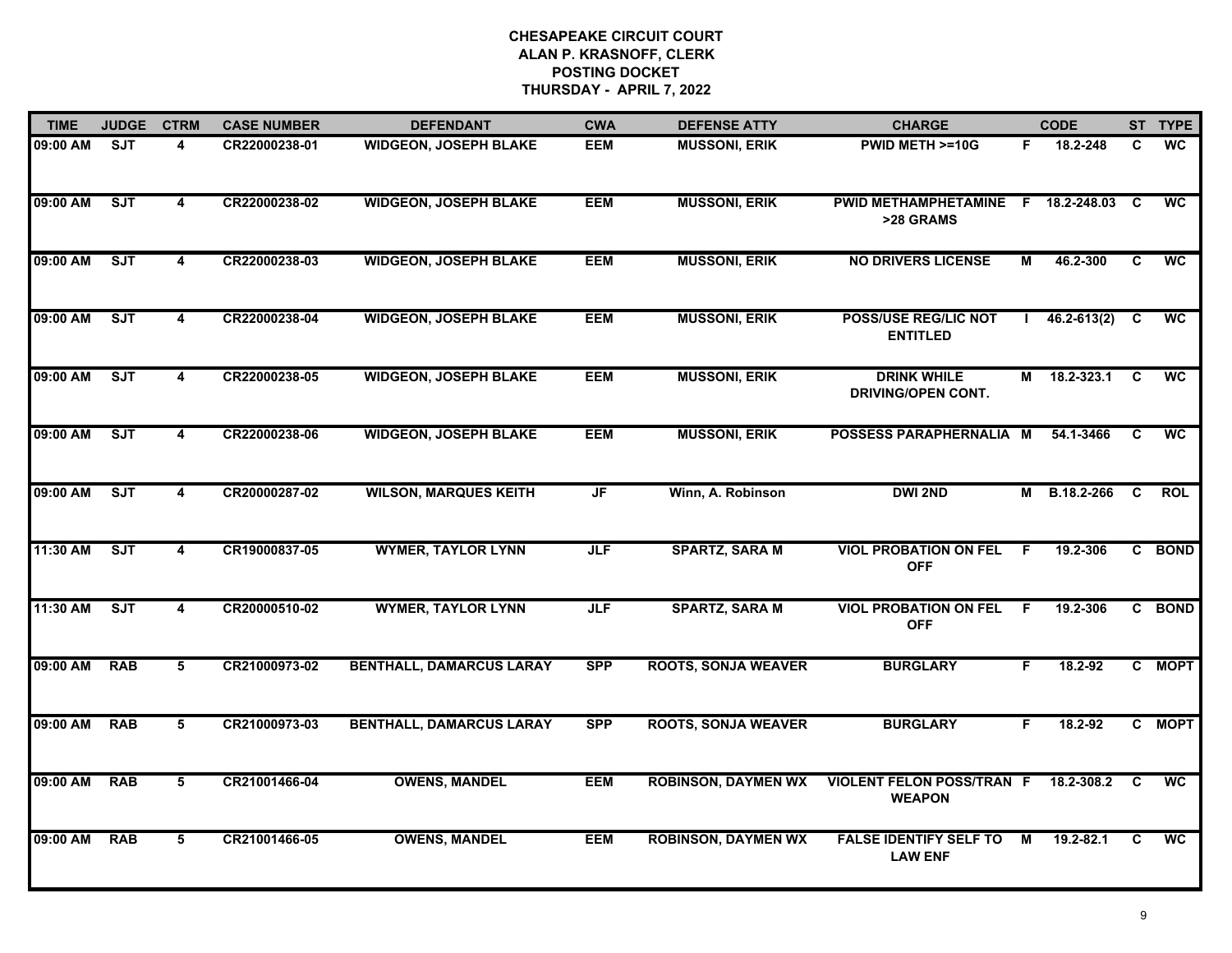| <b>TIME</b> | <b>JUDGE</b> | <b>CTRM</b>             | <b>CASE NUMBER</b> | <b>DEFENDANT</b>                | <b>CWA</b> | <b>DEFENSE ATTY</b>        | <b>CHARGE</b>                                     |    | <b>CODE</b>     |                         | ST TYPE                  |
|-------------|--------------|-------------------------|--------------------|---------------------------------|------------|----------------------------|---------------------------------------------------|----|-----------------|-------------------------|--------------------------|
| 09:00 AM    | SJT          | 4                       | CR22000238-01      | <b>WIDGEON, JOSEPH BLAKE</b>    | EEM        | <b>MUSSONI, ERIK</b>       | PWID METH >=10G                                   | F. | 18.2-248        | C                       | <b>WC</b>                |
| 09:00 AM    | SJT          | $\overline{\mathbf{4}}$ | CR22000238-02      | <b>WIDGEON, JOSEPH BLAKE</b>    | <b>EEM</b> | <b>MUSSONI, ERIK</b>       | PWID METHAMPHETAMINE F 18.2-248.03 C<br>>28 GRAMS |    |                 |                         | <b>WC</b>                |
| 09:00 AM    | ST           | $\overline{\mathbf{4}}$ | CR22000238-03      | <b>WIDGEON, JOSEPH BLAKE</b>    | <b>EEM</b> | <b>MUSSONI, ERIK</b>       | <b>NO DRIVERS LICENSE</b>                         | М  | 46.2-300        | C                       | <b>WC</b>                |
| 09:00 AM    | SJT          | 4                       | CR22000238-04      | <b>WIDGEON, JOSEPH BLAKE</b>    | <b>EEM</b> | <b>MUSSONI, ERIK</b>       | <b>POSS/USE REG/LIC NOT</b><br><b>ENTITLED</b>    |    | $46.2 - 613(2)$ | C                       | <b>WC</b>                |
| 09:00 AM    | SJT          | 4                       | CR22000238-05      | <b>WIDGEON, JOSEPH BLAKE</b>    | <b>EEM</b> | <b>MUSSONI, ERIK</b>       | <b>DRINK WHILE</b><br><b>DRIVING/OPEN CONT.</b>   | М  | 18.2-323.1      | C                       | $\overline{WC}$          |
| 09:00 AM    | SJT          | 4                       | CR22000238-06      | <b>WIDGEON, JOSEPH BLAKE</b>    | <b>EEM</b> | <b>MUSSONI, ERIK</b>       | POSSESS PARAPHERNALIA M                           |    | 54.1-3466       | C                       | <b>WC</b>                |
| 09:00 AM    | SJT          | $\overline{4}$          | CR20000287-02      | <b>WILSON, MARQUES KEITH</b>    | JF         | Winn, A. Robinson          | <b>DWI 2ND</b>                                    | M  | B.18.2-266      | $\overline{\mathbf{c}}$ | <b>ROL</b>               |
| 11:30 AM    | ST           | 4                       | CR19000837-05      | <b>WYMER, TAYLOR LYNN</b>       | <b>JLF</b> | <b>SPARTZ, SARA M</b>      | <b>VIOL PROBATION ON FEL</b><br><b>OFF</b>        | F. | 19.2-306        |                         | C BOND                   |
| 11:30 AM    | SJT          | 4                       | CR20000510-02      | <b>WYMER, TAYLOR LYNN</b>       | <b>JLF</b> | <b>SPARTZ, SARA M</b>      | <b>VIOL PROBATION ON FEL</b><br><b>OFF</b>        | -F | 19.2-306        |                         | C BOND                   |
| 09:00 AM    | <b>RAB</b>   | 5                       | CR21000973-02      | <b>BENTHALL, DAMARCUS LARAY</b> | <b>SPP</b> | <b>ROOTS, SONJA WEAVER</b> | <b>BURGLARY</b>                                   | F. | 18.2-92         |                         | C MOPT                   |
| 09:00 AM    | <b>RAB</b>   | 5                       | CR21000973-03      | <b>BENTHALL, DAMARCUS LARAY</b> | <b>SPP</b> | <b>ROOTS, SONJA WEAVER</b> | <b>BURGLARY</b>                                   | F. | 18.2-92         |                         | C MOPT                   |
| 09:00 AM    | <b>RAB</b>   | $5\overline{5}$         | CR21001466-04      | <b>OWENS, MANDEL</b>            | <b>EEM</b> | <b>ROBINSON, DAYMEN WX</b> | <b>VIOLENT FELON POSS/TRAN F</b><br><b>WEAPON</b> |    | 18.2-308.2      | C                       | $\overline{\mathsf{wc}}$ |
| 09:00 AM    | <b>RAB</b>   | 5                       | CR21001466-05      | <b>OWENS, MANDEL</b>            | <b>EEM</b> | <b>ROBINSON, DAYMEN WX</b> | <b>FALSE IDENTIFY SELF TO</b><br><b>LAW ENF</b>   | М  | $19.2 - 82.1$   | C                       | <b>WC</b>                |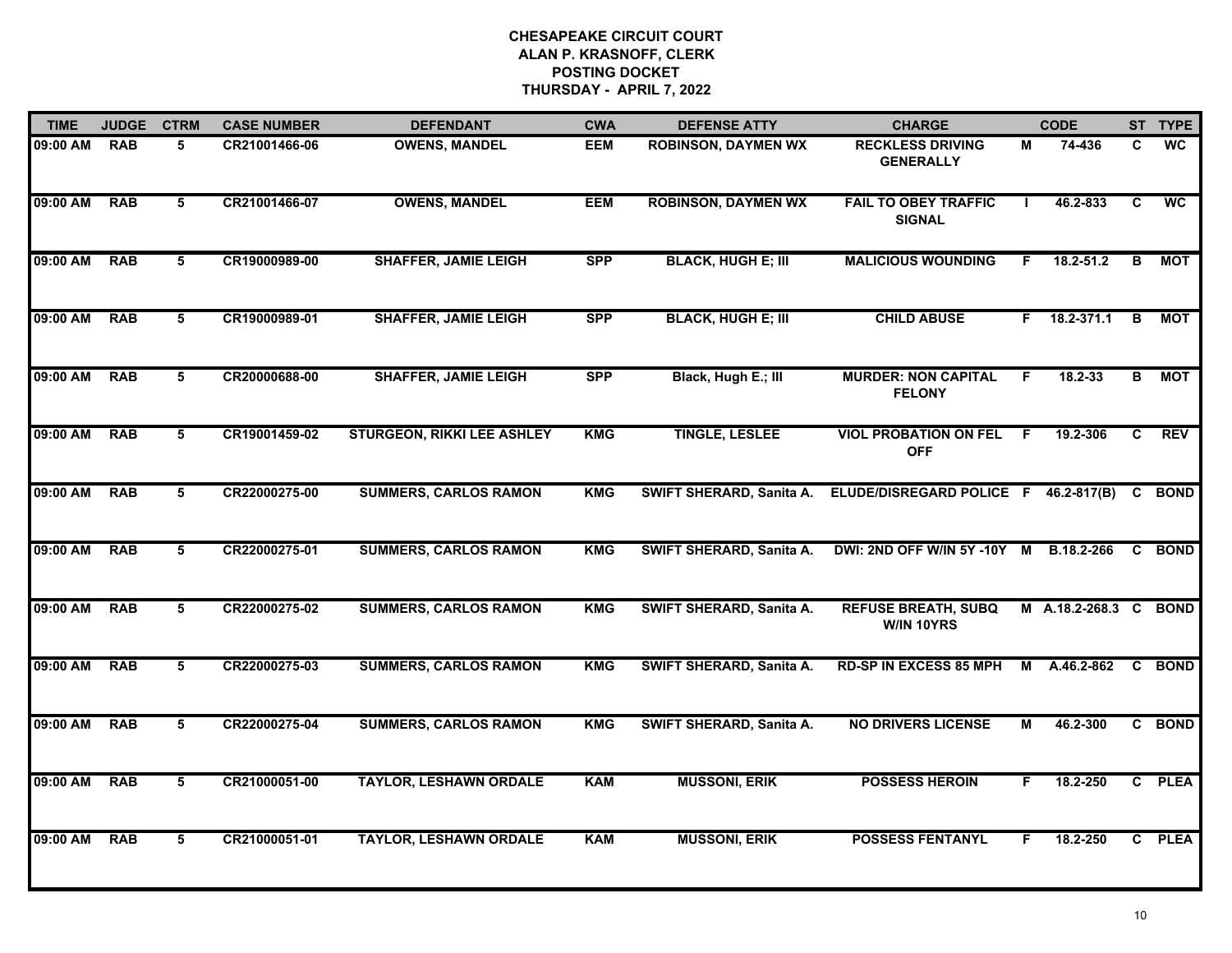| <b>TIME</b> | <b>JUDGE</b> | <b>CTRM</b>             | <b>CASE NUMBER</b> | <b>DEFENDANT</b>                  | <b>CWA</b> | <b>DEFENSE ATTY</b>        | <b>CHARGE</b>                                |              | <b>CODE</b>           |   | ST TYPE                  |
|-------------|--------------|-------------------------|--------------------|-----------------------------------|------------|----------------------------|----------------------------------------------|--------------|-----------------------|---|--------------------------|
| 09:00 AM    | <b>RAB</b>   | 5                       | CR21001466-06      | <b>OWENS, MANDEL</b>              | EEM        | <b>ROBINSON, DAYMEN WX</b> | <b>RECKLESS DRIVING</b><br><b>GENERALLY</b>  | М            | 74-436                | C | <b>WC</b>                |
| 09:00 AM    | RAB          | 5                       | CR21001466-07      | <b>OWENS, MANDEL</b>              | <b>EEM</b> | <b>ROBINSON, DAYMEN WX</b> | <b>FAIL TO OBEY TRAFFIC</b><br><b>SIGNAL</b> | $\mathbf{L}$ | 46.2-833              | C | $\overline{\mathsf{wc}}$ |
| 09:00 AM    | <b>RAB</b>   | 5                       | CR19000989-00      | <b>SHAFFER, JAMIE LEIGH</b>       | <b>SPP</b> | <b>BLACK, HUGH E; III</b>  | <b>MALICIOUS WOUNDING</b>                    |              | 18.2-51.2             | B | МОТ                      |
| 09:00 AM    | <b>RAB</b>   | 5                       | CR19000989-01      | <b>SHAFFER, JAMIE LEIGH</b>       | <b>SPP</b> | <b>BLACK, HUGH E; III</b>  | <b>CHILD ABUSE</b>                           | F.           | 18.2-371.1            | B | МОТ                      |
| 09:00 AM    | <b>RAB</b>   | 5                       | CR20000688-00      | <b>SHAFFER, JAMIE LEIGH</b>       | <b>SPP</b> | Black, Hugh E.; III        | <b>MURDER: NON CAPITAL</b><br><b>FELONY</b>  | F.           | $18.2 - 33$           | B | <b>MOT</b>               |
| 09:00 AM    | <b>RAB</b>   | 5                       | CR19001459-02      | <b>STURGEON, RIKKI LEE ASHLEY</b> | KMG        | <b>TINGLE, LESLEE</b>      | <b>VIOL PROBATION ON FEL F</b><br><b>OFF</b> |              | 19.2-306              | C | <b>REV</b>               |
| 09:00 AM    | <b>RAB</b>   | $5\overline{5}$         | CR22000275-00      | <b>SUMMERS, CARLOS RAMON</b>      | <b>KMG</b> | SWIFT SHERARD, Sanita A.   | ELUDE/DISREGARD POLICE F 46.2-817(B)         |              |                       |   | C BOND                   |
| 09:00 AM    | <b>RAB</b>   | $5\overline{)}$         | CR22000275-01      | <b>SUMMERS, CARLOS RAMON</b>      | <b>KMG</b> | SWIFT SHERARD, Sanita A.   | DWI: 2ND OFF W/IN 5Y -10Y M B.18.2-266       |              |                       |   | C BOND                   |
| 09:00 AM    | <b>RAB</b>   | 5                       | CR22000275-02      | <b>SUMMERS, CARLOS RAMON</b>      | <b>KMG</b> | SWIFT SHERARD, Sanita A.   | <b>REFUSE BREATH, SUBQ</b><br>W/IN 10YRS     |              | M A.18.2-268.3 C BOND |   |                          |
| 09:00 AM    | <b>RAB</b>   | 5                       | CR22000275-03      | <b>SUMMERS, CARLOS RAMON</b>      | <b>KMG</b> | SWIFT SHERARD, Sanita A.   | <b>RD-SP IN EXCESS 85 MPH</b>                | м            | A.46.2-862            |   | C BOND                   |
| 09:00 AM    | <b>RAB</b>   | 5                       | CR22000275-04      | <b>SUMMERS, CARLOS RAMON</b>      | <b>KMG</b> | SWIFT SHERARD, Sanita A.   | <b>NO DRIVERS LICENSE</b>                    | М            | 46.2-300              |   | C BOND                   |
| 09:00 AM    | <b>RAB</b>   | $\overline{\mathbf{5}}$ | CR21000051-00      | <b>TAYLOR, LESHAWN ORDALE</b>     | <b>KAM</b> | <b>MUSSONI, ERIK</b>       | <b>POSSESS HEROIN</b>                        | F.           | 18.2-250              |   | C PLEA                   |
| 09:00 AM    | <b>RAB</b>   | 5                       | CR21000051-01      | <b>TAYLOR, LESHAWN ORDALE</b>     | <b>KAM</b> | <b>MUSSONI, ERIK</b>       | <b>POSSESS FENTANYL</b>                      | F.           | 18.2-250              |   | C PLEA                   |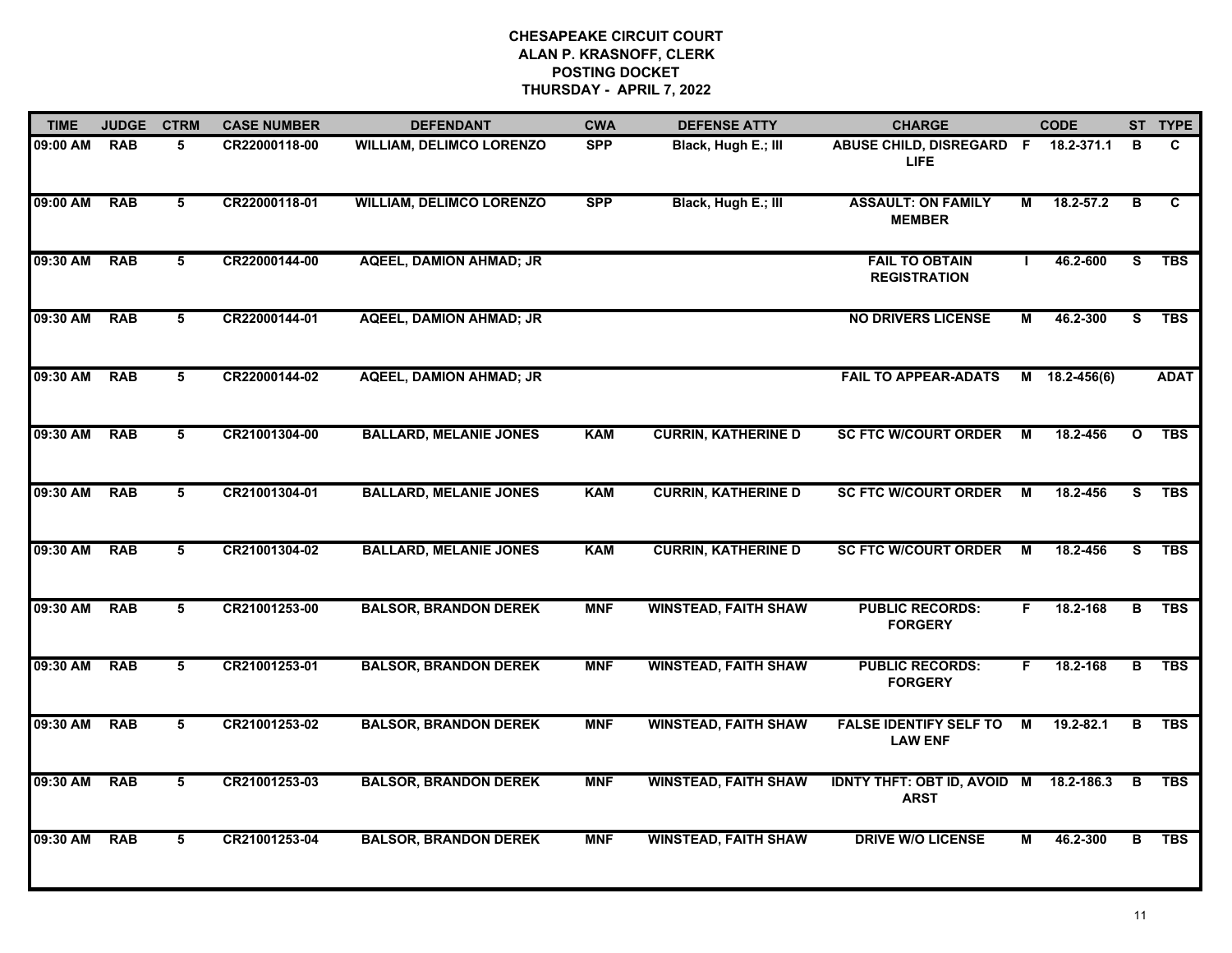| <b>TIME</b> | <b>JUDGE</b> | <b>CTRM</b>     | <b>CASE NUMBER</b> | <b>DEFENDANT</b>                | <b>CWA</b> | <b>DEFENSE ATTY</b>         | <b>CHARGE</b>                                         |                | <b>CODE</b>   |                         | ST TYPE      |
|-------------|--------------|-----------------|--------------------|---------------------------------|------------|-----------------------------|-------------------------------------------------------|----------------|---------------|-------------------------|--------------|
| 09:00 AM    | <b>RAB</b>   | 5               | CR22000118-00      | <b>WILLIAM, DELIMCO LORENZO</b> | <b>SPP</b> | Black, Hugh E.; III         | ABUSE CHILD, DISREGARD F<br><b>LIFE</b>               |                | 18.2-371.1    | в                       | $\mathbf{C}$ |
| 09:00 AM    | <b>RAB</b>   | $5\overline{5}$ | CR22000118-01      | <b>WILLIAM, DELIMCO LORENZO</b> | <b>SPP</b> | Black, Hugh E.; III         | <b>ASSAULT: ON FAMILY</b><br><b>MEMBER</b>            | М              | $18.2 - 57.2$ | $\overline{B}$          | C.           |
| 09:30 AM    | <b>RAB</b>   | 5               | CR22000144-00      | <b>AQEEL, DAMION AHMAD; JR</b>  |            |                             | <b>FAIL TO OBTAIN</b><br><b>REGISTRATION</b>          |                | 46.2-600      | s                       | <b>TBS</b>   |
| 09:30 AM    | <b>RAB</b>   | 5               | CR22000144-01      | <b>AQEEL, DAMION AHMAD; JR</b>  |            |                             | <b>NO DRIVERS LICENSE</b>                             | М              | 46.2-300      | S.                      | <b>TBS</b>   |
| 09:30 AM    | <b>RAB</b>   | 5               | CR22000144-02      | <b>AQEEL, DAMION AHMAD; JR</b>  |            |                             | <b>FAIL TO APPEAR-ADATS</b>                           |                | M 18.2-456(6) |                         | <b>ADAT</b>  |
| 09:30 AM    | <b>RAB</b>   | 5               | CR21001304-00      | <b>BALLARD, MELANIE JONES</b>   | <b>KAM</b> | <b>CURRIN, KATHERINE D</b>  | <b>SC FTC W/COURT ORDER</b>                           | M              | 18.2-456      | $\mathbf{o}$            | <b>TBS</b>   |
| 09:30 AM    | <b>RAB</b>   | $5\overline{5}$ | CR21001304-01      | <b>BALLARD, MELANIE JONES</b>   | <b>KAM</b> | <b>CURRIN, KATHERINE D</b>  | <b>SC FTC W/COURT ORDER</b>                           | M              | 18.2-456      | S                       | <b>TBS</b>   |
| 09:30 AM    | <b>RAB</b>   | $5\overline{5}$ | CR21001304-02      | <b>BALLARD, MELANIE JONES</b>   | <b>KAM</b> | <b>CURRIN, KATHERINE D</b>  | <b>SC FTC W/COURT ORDER</b>                           | $\overline{M}$ | 18.2-456      | $\overline{s}$          | <b>TBS</b>   |
| 09:30 AM    | <b>RAB</b>   | 5               | CR21001253-00      | <b>BALSOR, BRANDON DEREK</b>    | <b>MNF</b> | <b>WINSTEAD, FAITH SHAW</b> | <b>PUBLIC RECORDS:</b><br><b>FORGERY</b>              | F.             | 18.2-168      | B                       | <b>TBS</b>   |
| 09:30 AM    | <b>RAB</b>   | 5               | CR21001253-01      | <b>BALSOR, BRANDON DEREK</b>    | <b>MNF</b> | <b>WINSTEAD, FAITH SHAW</b> | <b>PUBLIC RECORDS:</b><br><b>FORGERY</b>              | F.             | 18.2-168      | B                       | <b>TBS</b>   |
| 09:30 AM    | <b>RAB</b>   | 5               | CR21001253-02      | <b>BALSOR, BRANDON DEREK</b>    | <b>MNF</b> | <b>WINSTEAD, FAITH SHAW</b> | <b>FALSE IDENTIFY SELF TO</b><br><b>LAW ENF</b>       | М              | 19.2-82.1     | в                       | <b>TBS</b>   |
| 09:30 AM    | <b>RAB</b>   | 5               | CR21001253-03      | <b>BALSOR, BRANDON DEREK</b>    | <b>MNF</b> | <b>WINSTEAD, FAITH SHAW</b> | IDNTY THFT: OBT ID, AVOID M 18.2-186.3<br><b>ARST</b> |                |               | B                       | <b>TBS</b>   |
| 09:30 AM    | <b>RAB</b>   | $5\overline{5}$ | CR21001253-04      | <b>BALSOR, BRANDON DEREK</b>    | <b>MNF</b> | <b>WINSTEAD, FAITH SHAW</b> | <b>DRIVE W/O LICENSE</b>                              | М              | 46.2-300      | $\overline{\mathsf{B}}$ | <b>TBS</b>   |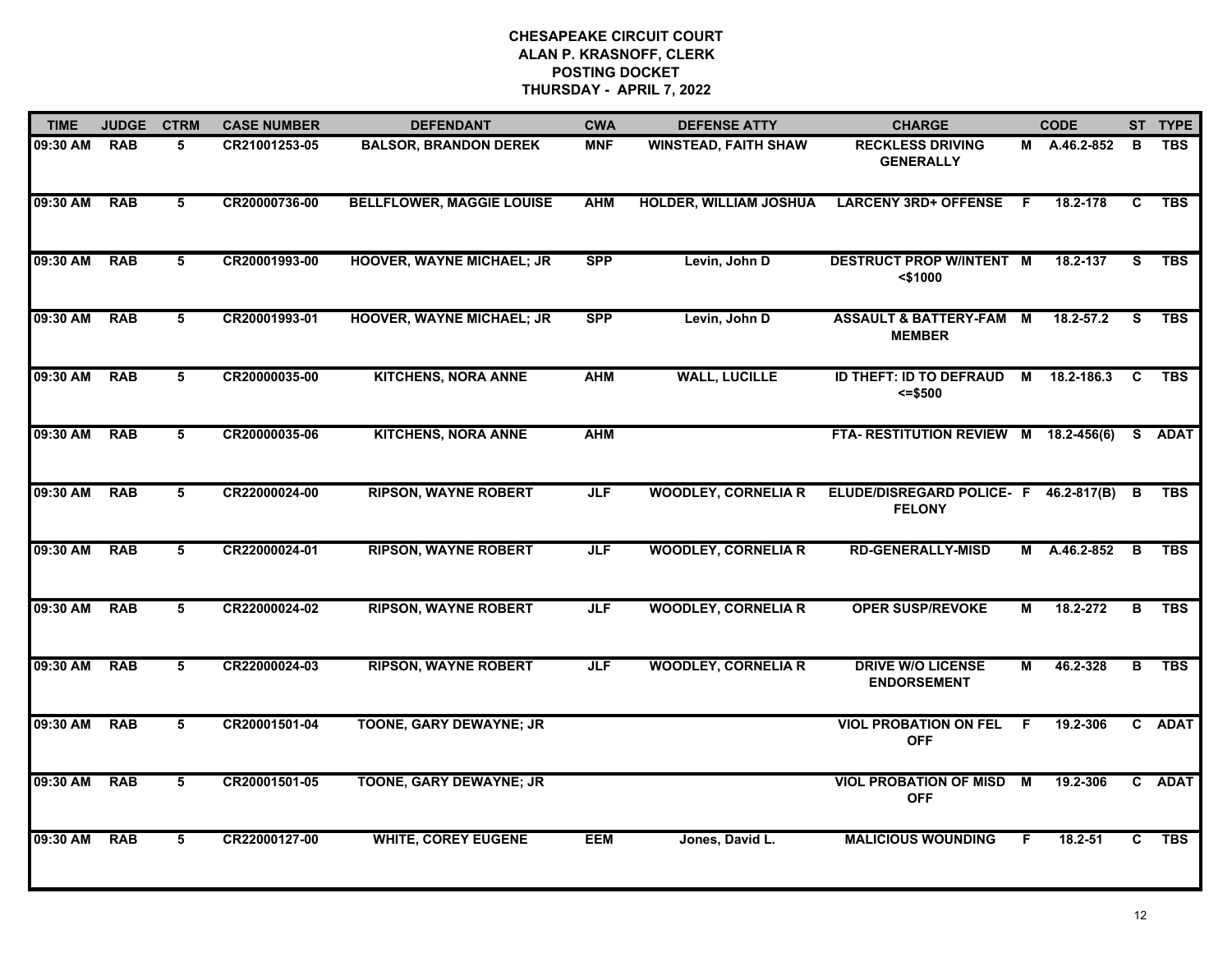| <b>TIME</b>  | <b>JUDGE</b> | <b>CTRM</b>     | <b>CASE NUMBER</b> | <b>DEFENDANT</b>                 | <b>CWA</b> | <b>DEFENSE ATTY</b>           | <b>CHARGE</b>                                            |              | <b>CODE</b>    |          | ST TYPE    |
|--------------|--------------|-----------------|--------------------|----------------------------------|------------|-------------------------------|----------------------------------------------------------|--------------|----------------|----------|------------|
| 09:30 AM     | <b>RAB</b>   | 5               | CR21001253-05      | <b>BALSOR, BRANDON DEREK</b>     | <b>MNF</b> | <b>WINSTEAD, FAITH SHAW</b>   | <b>RECKLESS DRIVING</b><br><b>GENERALLY</b>              |              | M A.46.2-852   | B        | <b>TBS</b> |
| 09:30 AM     | <b>RAB</b>   | 5               | CR20000736-00      | <b>BELLFLOWER, MAGGIE LOUISE</b> | <b>AHM</b> | <b>HOLDER, WILLIAM JOSHUA</b> | <b>LARCENY 3RD+ OFFENSE</b>                              | $\mathsf{F}$ | 18.2-178       | C        | <b>TBS</b> |
| 09:30 AM     | <b>RAB</b>   | 5               | CR20001993-00      | <b>HOOVER, WAYNE MICHAEL; JR</b> | <b>SPP</b> | Levin, John D                 | <b>DESTRUCT PROP W/INTENT M</b><br>$<$ \$1000            |              | 18.2-137       | s        | <b>TBS</b> |
| 09:30 AM     | <b>RAB</b>   | 5               | CR20001993-01      | <b>HOOVER, WAYNE MICHAEL; JR</b> | <b>SPP</b> | Levin, John D                 | <b>ASSAULT &amp; BATTERY-FAM M</b><br><b>MEMBER</b>      |              | 18.2-57.2      | <b>S</b> | <b>TBS</b> |
| 09:30 AM     | <b>RAB</b>   | 5               | CR20000035-00      | <b>KITCHENS, NORA ANNE</b>       | <b>AHM</b> | <b>WALL, LUCILLE</b>          | ID THEFT: ID TO DEFRAUD<br>$= $500$                      |              | M 18.2-186.3   | C        | <b>TBS</b> |
| 09:30 AM RAB |              | 5               | CR20000035-06      | <b>KITCHENS, NORA ANNE</b>       | <b>AHM</b> |                               | FTA-RESTITUTION REVIEW M 18.2-456(6)                     |              |                |          | S ADAT     |
| 09:30 AM     | <b>RAB</b>   | 5               | CR22000024-00      | <b>RIPSON, WAYNE ROBERT</b>      | <b>JLF</b> | <b>WOODLEY, CORNELIA R</b>    | ELUDE/DISREGARD POLICE- F 46.2-817(B) B<br><b>FELONY</b> |              |                |          | <b>TBS</b> |
| 09:30 AM     | <b>RAB</b>   | 5               | CR22000024-01      | <b>RIPSON, WAYNE ROBERT</b>      | <b>JLF</b> | <b>WOODLEY, CORNELIA R</b>    | <b>RD-GENERALLY-MISD</b>                                 |              | M A.46.2-852 B |          | <b>TBS</b> |
| 09:30 AM     | <b>RAB</b>   | 5               | CR22000024-02      | <b>RIPSON, WAYNE ROBERT</b>      | <b>JLF</b> | <b>WOODLEY, CORNELIA R</b>    | <b>OPER SUSP/REVOKE</b>                                  | М            | 18.2-272       | B        | <b>TBS</b> |
| 09:30 AM     | <b>RAB</b>   | 5               | CR22000024-03      | <b>RIPSON, WAYNE ROBERT</b>      | <b>JLF</b> | <b>WOODLEY, CORNELIA R</b>    | <b>DRIVE W/O LICENSE</b><br><b>ENDORSEMENT</b>           | М            | 46.2-328       | B        | <b>TBS</b> |
| 09:30 AM     | <b>RAB</b>   | 5               | CR20001501-04      | <b>TOONE, GARY DEWAYNE; JR</b>   |            |                               | <b>VIOL PROBATION ON FEL</b><br><b>OFF</b>               | -F           | 19.2-306       |          | C ADAT     |
| 09:30 AM     | <b>RAB</b>   | $5\overline{5}$ | CR20001501-05      | TOONE, GARY DEWAYNE; JR          |            |                               | <b>VIOL PROBATION OF MISD M</b><br><b>OFF</b>            |              | 19.2-306       |          | C ADAT     |
| 09:30 AM     | <b>RAB</b>   | 5               | CR22000127-00      | <b>WHITE, COREY EUGENE</b>       | <b>EEM</b> | Jones, David L.               | <b>MALICIOUS WOUNDING</b>                                | F.           | 18.2-51        | C        | <b>TBS</b> |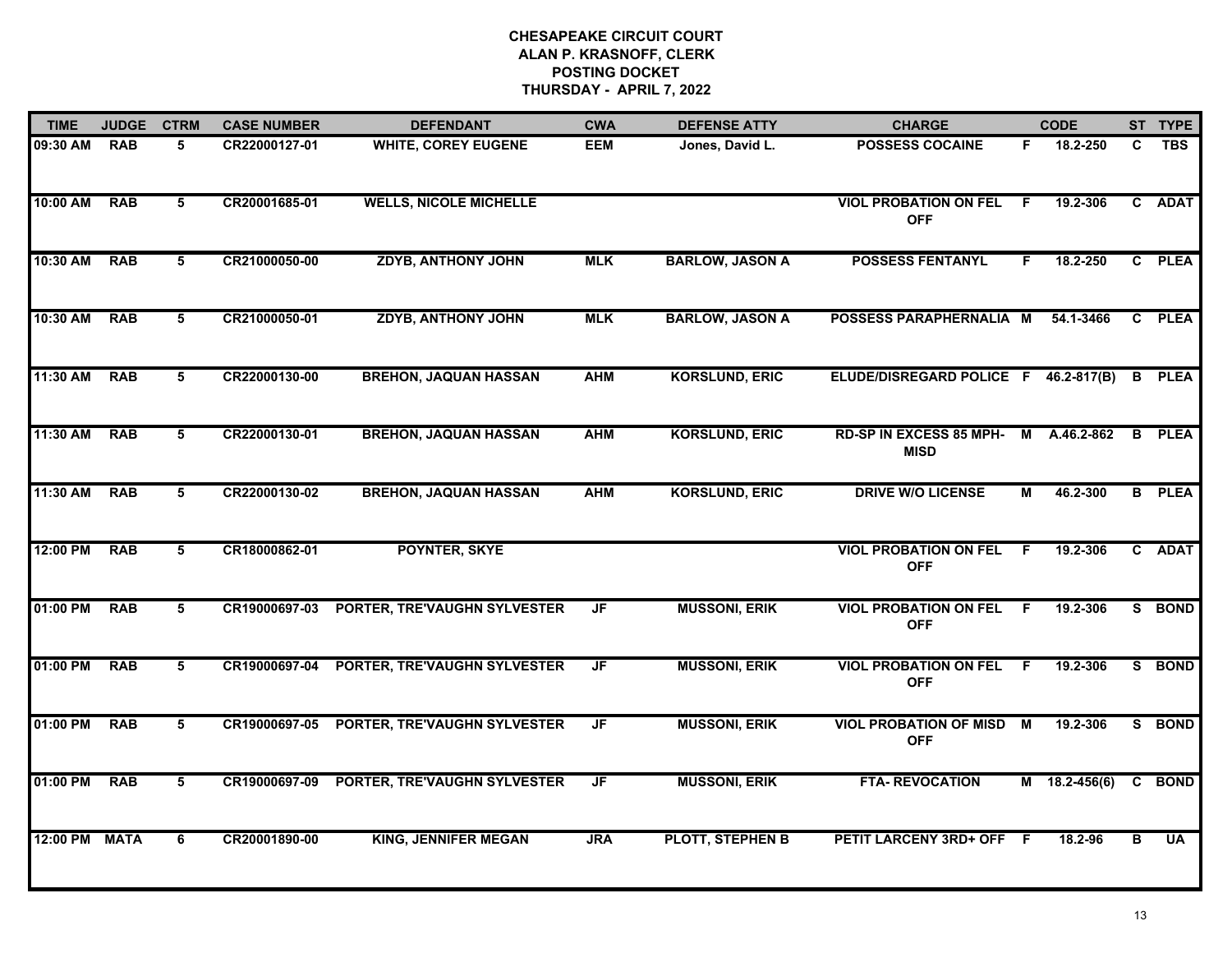| <b>TIME</b> | <b>JUDGE</b> | <b>CTRM</b>    | <b>CASE NUMBER</b> | <b>DEFENDANT</b>              | <b>CWA</b> | <b>DEFENSE ATTY</b>    | <b>CHARGE</b>                                 |                | <b>CODE</b>     |              | ST TYPE       |
|-------------|--------------|----------------|--------------------|-------------------------------|------------|------------------------|-----------------------------------------------|----------------|-----------------|--------------|---------------|
| 09:30 AM    | <b>RAB</b>   | 5              | CR22000127-01      | <b>WHITE, COREY EUGENE</b>    | <b>EEM</b> | Jones, David L.        | <b>POSSESS COCAINE</b>                        | F.             | 18.2-250        | C.           | <b>TBS</b>    |
| 10:00 AM    | <b>RAB</b>   | 5              | CR20001685-01      | <b>WELLS, NICOLE MICHELLE</b> |            |                        | <b>VIOL PROBATION ON FEL</b><br><b>OFF</b>    | -F             | 19.2-306        |              | C ADAT        |
| 10:30 AM    | <b>RAB</b>   | 5              | CR21000050-00      | <b>ZDYB, ANTHONY JOHN</b>     | <b>MLK</b> | <b>BARLOW, JASON A</b> | <b>POSSESS FENTANYL</b>                       | F.             | 18.2-250        |              | C PLEA        |
| 10:30 AM    | <b>RAB</b>   | 5              | CR21000050-01      | <b>ZDYB, ANTHONY JOHN</b>     | <b>MLK</b> | <b>BARLOW, JASON A</b> | POSSESS PARAPHERNALIA M                       |                | 54.1-3466       | $\mathbf{C}$ | <b>PLEA</b>   |
| 11:30 AM    | <b>RAB</b>   | 5              | CR22000130-00      | <b>BREHON, JAQUAN HASSAN</b>  | <b>AHM</b> | <b>KORSLUND, ERIC</b>  | ELUDE/DISREGARD POLICE F 46.2-817(B)          |                |                 |              | <b>B</b> PLEA |
| 11:30 AM    | <b>RAB</b>   | 5              | CR22000130-01      | <b>BREHON, JAQUAN HASSAN</b>  | <b>AHM</b> | <b>KORSLUND, ERIC</b>  | RD-SP IN EXCESS 85 MPH-<br><b>MISD</b>        |                | M A.46.2-862    | B            | <b>PLEA</b>   |
| 11:30 AM    | <b>RAB</b>   | $\overline{5}$ | CR22000130-02      | <b>BREHON, JAQUAN HASSAN</b>  | <b>AHM</b> | <b>KORSLUND, ERIC</b>  | <b>DRIVE W/O LICENSE</b>                      | $\overline{M}$ | 46.2-300        |              | <b>B</b> PLEA |
| 12:00 PM    | <b>RAB</b>   | 5              | CR18000862-01      | POYNTER, SKYE                 |            |                        | <b>VIOL PROBATION ON FEL</b><br><b>OFF</b>    | F              | 19.2-306        |              | C ADAT        |
| 01:00 PM    | <b>RAB</b>   | 5              | CR19000697-03      | PORTER, TRE'VAUGHN SYLVESTER  | JF         | <b>MUSSONI, ERIK</b>   | <b>VIOL PROBATION ON FEL</b><br><b>OFF</b>    | -F             | 19.2-306        |              | S BOND        |
| 01:00 PM    | <b>RAB</b>   | 5              | CR19000697-04      | PORTER, TRE'VAUGHN SYLVESTER  | JF         | <b>MUSSONI, ERIK</b>   | <b>VIOL PROBATION ON FEL</b><br><b>OFF</b>    | F              | 19.2-306        |              | S BOND        |
| 01:00 PM    | <b>RAB</b>   | 5              | CR19000697-05      | PORTER, TRE'VAUGHN SYLVESTER  | JF         | <b>MUSSONI, ERIK</b>   | <b>VIOL PROBATION OF MISD M</b><br><b>OFF</b> |                | 19.2-306        |              | S BOND        |
| 01:00 PM    | <b>RAB</b>   | 5              | CR19000697-09      | PORTER, TRE'VAUGHN SYLVESTER  | JF         | <b>MUSSONI, ERIK</b>   | <b>FTA- REVOCATION</b>                        |                | $M$ 18.2-456(6) |              | C BOND        |
| 12:00 PM    | <b>MATA</b>  | 6              | CR20001890-00      | <b>KING, JENNIFER MEGAN</b>   | <b>JRA</b> | PLOTT, STEPHEN B       | PETIT LARCENY 3RD+ OFF F                      |                | 18.2-96         | в            | <b>UA</b>     |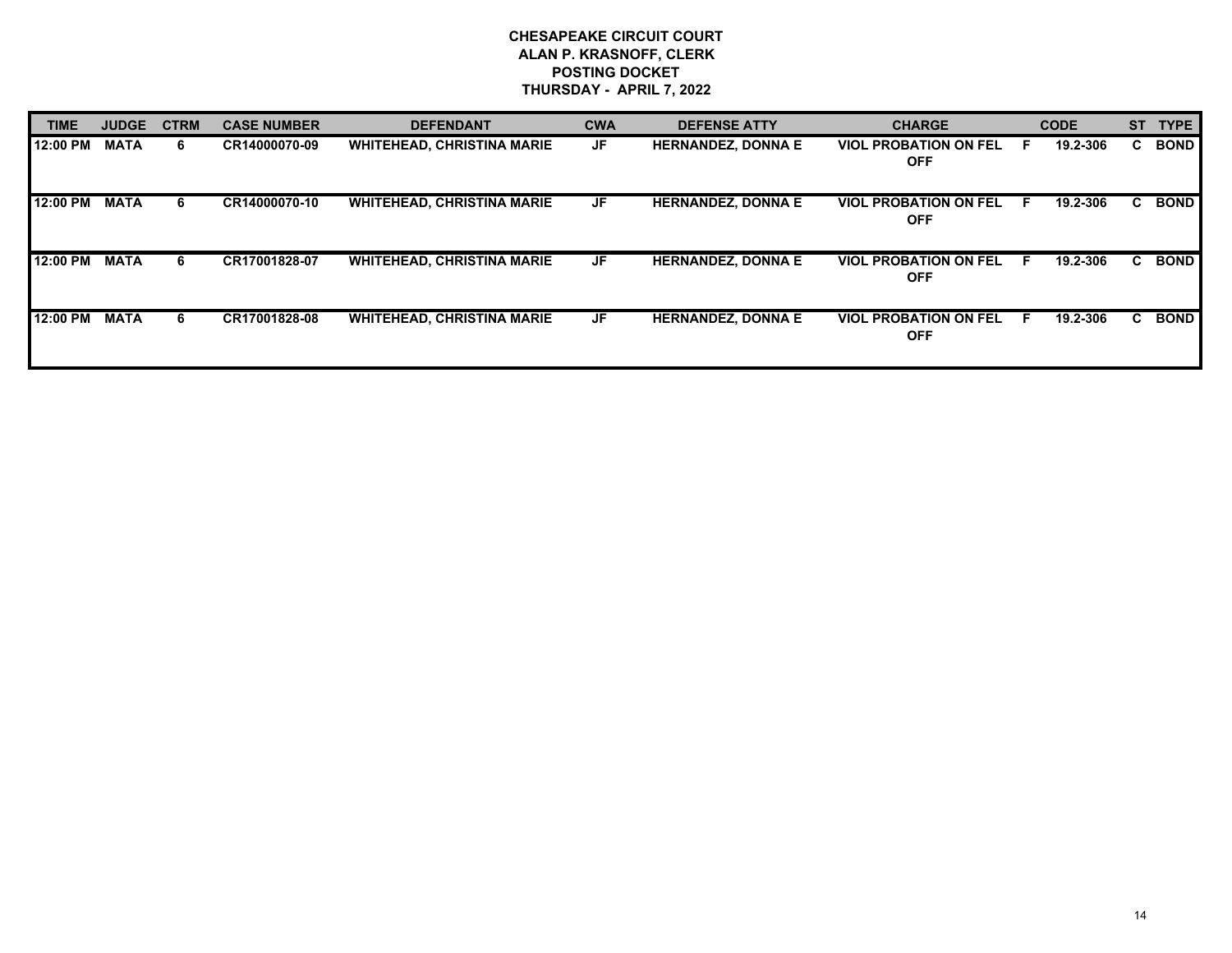| <b>TIME</b> | <b>JUDGE</b> | <b>CTRM</b> | <b>CASE NUMBER</b> | <b>DEFENDANT</b>                  | <b>CWA</b> | <b>DEFENSE ATTY</b>       | <b>CHARGE</b>                              | <b>CODE</b>   | <b>ST</b> | <b>TYPE</b> |
|-------------|--------------|-------------|--------------------|-----------------------------------|------------|---------------------------|--------------------------------------------|---------------|-----------|-------------|
| 12:00 PM    | <b>MATA</b>  | 6.          | CR14000070-09      | <b>WHITEHEAD, CHRISTINA MARIE</b> | <b>JF</b>  | <b>HERNANDEZ, DONNA E</b> | <b>VIOL PROBATION ON FEL</b><br><b>OFF</b> | 19.2-306<br>E | C.        | <b>BOND</b> |
| 12:00 PM    | <b>MATA</b>  | 6           | CR14000070-10      | <b>WHITEHEAD, CHRISTINA MARIE</b> | JF         | <b>HERNANDEZ, DONNA E</b> | <b>VIOL PROBATION ON FEL</b><br><b>OFF</b> | 19.2-306<br>E | C         | <b>BOND</b> |
| 12:00 PM    | <b>MATA</b>  | 6           | CR17001828-07      | <b>WHITEHEAD, CHRISTINA MARIE</b> | JF         | <b>HERNANDEZ, DONNA E</b> | <b>VIOL PROBATION ON FEL</b><br><b>OFF</b> | 19.2-306<br>E | C.        | <b>BOND</b> |
| 12:00 PM    | <b>MATA</b>  | 6           | CR17001828-08      | <b>WHITEHEAD, CHRISTINA MARIE</b> | JF         | <b>HERNANDEZ, DONNA E</b> | <b>VIOL PROBATION ON FEL</b><br><b>OFF</b> | 19.2-306<br>E | C.        | <b>BOND</b> |